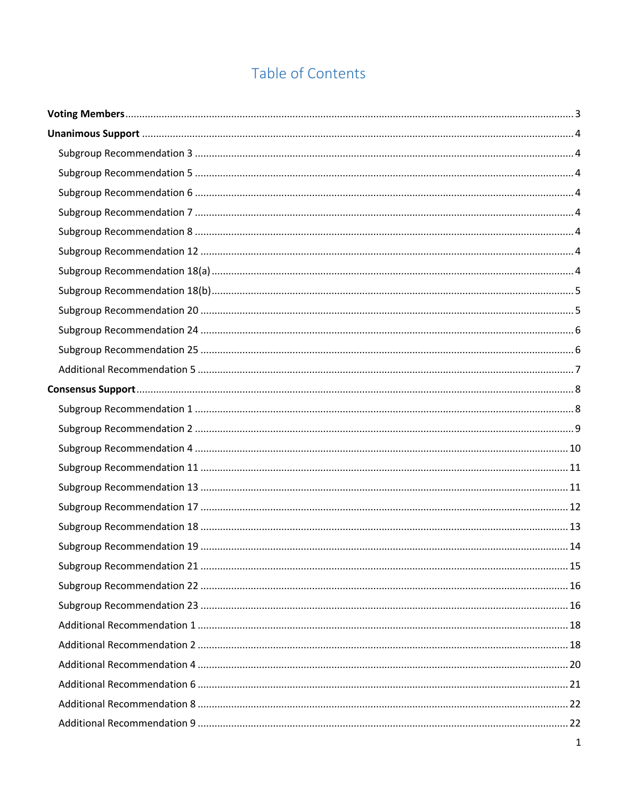# Table of Contents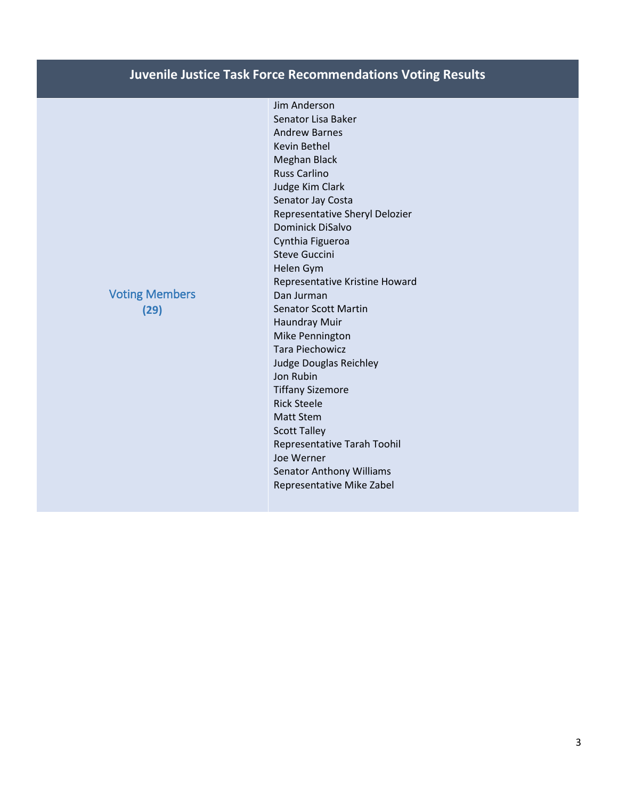# **Juvenile Justice Task Force Recommendations Voting Results**

Jim Anderson Senator Lisa Baker Andrew Barnes Kevin Bethel Meghan Black Russ Carlino Judge Kim Clark Senator Jay Costa Representative Sheryl Delozier Dominick DiSalvo Cynthia Figueroa Steve Guccini Helen Gym Representative Kristine Howard Dan Jurman Senator Scott Martin Haundray Muir Mike Pennington Tara Piechowicz Judge Douglas Reichley Jon Rubin Tiffany Sizemore Rick Steele Matt Stem Scott Talley Representative Tarah Toohil Joe Werner Senator Anthony Williams Representative Mike Zabel

# <span id="page-2-0"></span>Voting Members **(29)**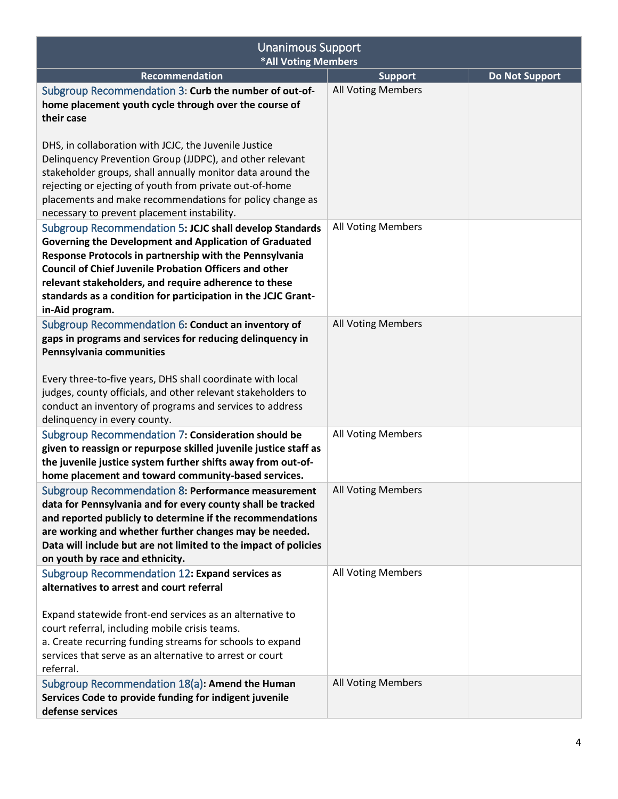<span id="page-3-7"></span><span id="page-3-6"></span><span id="page-3-5"></span><span id="page-3-4"></span><span id="page-3-3"></span><span id="page-3-2"></span><span id="page-3-1"></span><span id="page-3-0"></span>

| <b>Unanimous Support</b><br>*All Voting Members                                                                                                                                                                                                                                                                                                                                            |                           |                       |
|--------------------------------------------------------------------------------------------------------------------------------------------------------------------------------------------------------------------------------------------------------------------------------------------------------------------------------------------------------------------------------------------|---------------------------|-----------------------|
| <b>Recommendation</b>                                                                                                                                                                                                                                                                                                                                                                      | <b>Support</b>            | <b>Do Not Support</b> |
| Subgroup Recommendation 3: Curb the number of out-of-<br>home placement youth cycle through over the course of<br>their case                                                                                                                                                                                                                                                               | <b>All Voting Members</b> |                       |
| DHS, in collaboration with JCJC, the Juvenile Justice<br>Delinquency Prevention Group (JJDPC), and other relevant<br>stakeholder groups, shall annually monitor data around the<br>rejecting or ejecting of youth from private out-of-home<br>placements and make recommendations for policy change as<br>necessary to prevent placement instability.                                      |                           |                       |
| Subgroup Recommendation 5: JCJC shall develop Standards<br>Governing the Development and Application of Graduated<br>Response Protocols in partnership with the Pennsylvania<br><b>Council of Chief Juvenile Probation Officers and other</b><br>relevant stakeholders, and require adherence to these<br>standards as a condition for participation in the JCJC Grant-<br>in-Aid program. | All Voting Members        |                       |
| Subgroup Recommendation 6: Conduct an inventory of<br>gaps in programs and services for reducing delinquency in<br>Pennsylvania communities<br>Every three-to-five years, DHS shall coordinate with local<br>judges, county officials, and other relevant stakeholders to<br>conduct an inventory of programs and services to address<br>delinquency in every county.                      | <b>All Voting Members</b> |                       |
| Subgroup Recommendation 7: Consideration should be<br>given to reassign or repurpose skilled juvenile justice staff as<br>the juvenile justice system further shifts away from out-of-<br>home placement and toward community-based services.                                                                                                                                              | All Voting Members        |                       |
| Subgroup Recommendation 8: Performance measurement<br>data for Pennsylvania and for every county shall be tracked<br>and reported publicly to determine if the recommendations<br>are working and whether further changes may be needed.<br>Data will include but are not limited to the impact of policies<br>on youth by race and ethnicity.                                             | All Voting Members        |                       |
| Subgroup Recommendation 12: Expand services as<br>alternatives to arrest and court referral<br>Expand statewide front-end services as an alternative to<br>court referral, including mobile crisis teams.<br>a. Create recurring funding streams for schools to expand<br>services that serve as an alternative to arrest or court<br>referral.                                            | All Voting Members        |                       |
| Subgroup Recommendation 18(a): Amend the Human<br>Services Code to provide funding for indigent juvenile<br>defense services                                                                                                                                                                                                                                                               | <b>All Voting Members</b> |                       |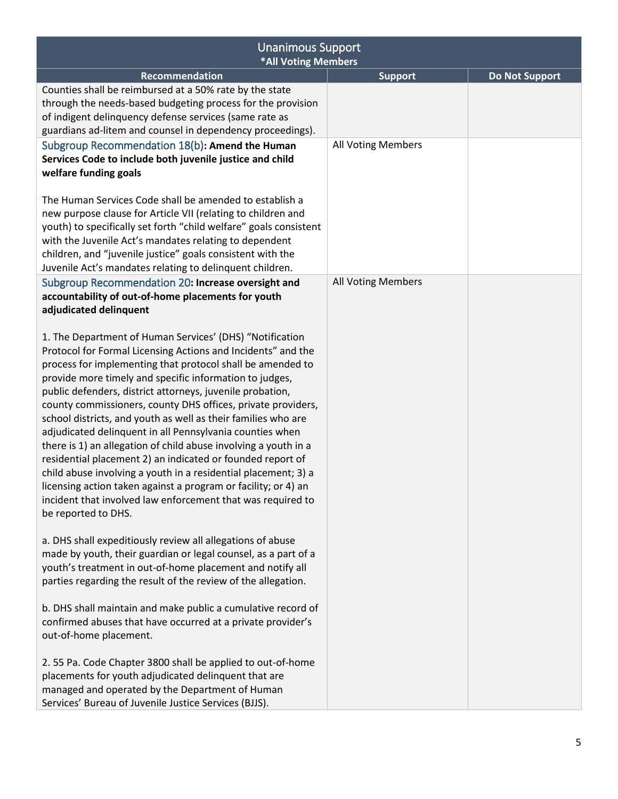<span id="page-4-1"></span><span id="page-4-0"></span>

| <b>Unanimous Support</b><br><b>*All Voting Members</b>                                                                                                                                                                                                                                                                                                                                                                                                                                                                                                                                                                                                                                                                                                                                                                                                                 |                           |                       |
|------------------------------------------------------------------------------------------------------------------------------------------------------------------------------------------------------------------------------------------------------------------------------------------------------------------------------------------------------------------------------------------------------------------------------------------------------------------------------------------------------------------------------------------------------------------------------------------------------------------------------------------------------------------------------------------------------------------------------------------------------------------------------------------------------------------------------------------------------------------------|---------------------------|-----------------------|
| <b>Recommendation</b>                                                                                                                                                                                                                                                                                                                                                                                                                                                                                                                                                                                                                                                                                                                                                                                                                                                  | <b>Support</b>            | <b>Do Not Support</b> |
| Counties shall be reimbursed at a 50% rate by the state<br>through the needs-based budgeting process for the provision<br>of indigent delinquency defense services (same rate as<br>guardians ad-litem and counsel in dependency proceedings).<br>Subgroup Recommendation 18(b): Amend the Human                                                                                                                                                                                                                                                                                                                                                                                                                                                                                                                                                                       | All Voting Members        |                       |
| Services Code to include both juvenile justice and child<br>welfare funding goals                                                                                                                                                                                                                                                                                                                                                                                                                                                                                                                                                                                                                                                                                                                                                                                      |                           |                       |
| The Human Services Code shall be amended to establish a<br>new purpose clause for Article VII (relating to children and<br>youth) to specifically set forth "child welfare" goals consistent<br>with the Juvenile Act's mandates relating to dependent<br>children, and "juvenile justice" goals consistent with the<br>Juvenile Act's mandates relating to delinquent children.                                                                                                                                                                                                                                                                                                                                                                                                                                                                                       |                           |                       |
| Subgroup Recommendation 20: Increase oversight and<br>accountability of out-of-home placements for youth<br>adjudicated delinquent                                                                                                                                                                                                                                                                                                                                                                                                                                                                                                                                                                                                                                                                                                                                     | <b>All Voting Members</b> |                       |
| 1. The Department of Human Services' (DHS) "Notification<br>Protocol for Formal Licensing Actions and Incidents" and the<br>process for implementing that protocol shall be amended to<br>provide more timely and specific information to judges,<br>public defenders, district attorneys, juvenile probation,<br>county commissioners, county DHS offices, private providers,<br>school districts, and youth as well as their families who are<br>adjudicated delinquent in all Pennsylvania counties when<br>there is 1) an allegation of child abuse involving a youth in a<br>residential placement 2) an indicated or founded report of<br>child abuse involving a youth in a residential placement; 3) a<br>licensing action taken against a program or facility; or 4) an<br>incident that involved law enforcement that was required to<br>be reported to DHS. |                           |                       |
| a. DHS shall expeditiously review all allegations of abuse<br>made by youth, their guardian or legal counsel, as a part of a<br>youth's treatment in out-of-home placement and notify all<br>parties regarding the result of the review of the allegation.                                                                                                                                                                                                                                                                                                                                                                                                                                                                                                                                                                                                             |                           |                       |
| b. DHS shall maintain and make public a cumulative record of<br>confirmed abuses that have occurred at a private provider's<br>out-of-home placement.                                                                                                                                                                                                                                                                                                                                                                                                                                                                                                                                                                                                                                                                                                                  |                           |                       |
| 2.55 Pa. Code Chapter 3800 shall be applied to out-of-home<br>placements for youth adjudicated delinquent that are<br>managed and operated by the Department of Human<br>Services' Bureau of Juvenile Justice Services (BJJS).                                                                                                                                                                                                                                                                                                                                                                                                                                                                                                                                                                                                                                         |                           |                       |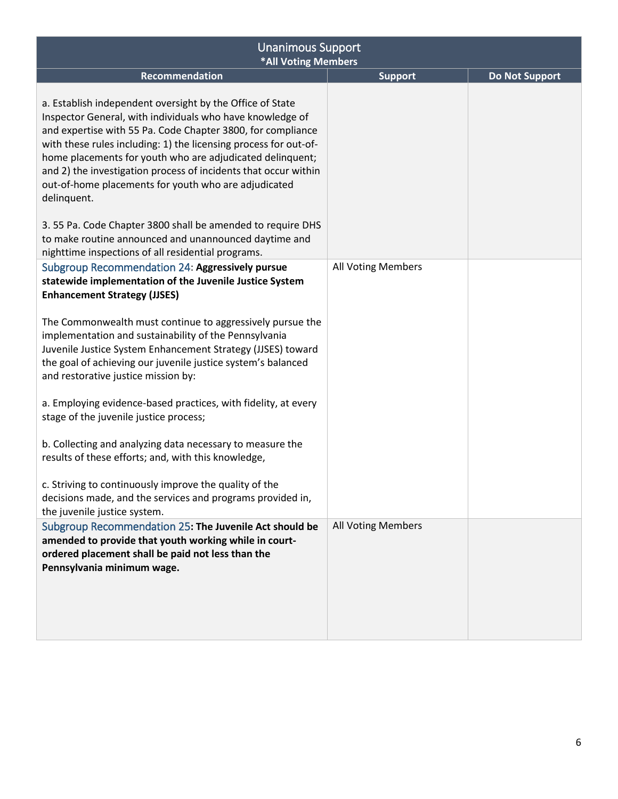<span id="page-5-1"></span><span id="page-5-0"></span>

| <b>Unanimous Support</b><br>*All Voting Members                                                                                                                                                                                                                                                                                                                                                                                                                  |                           |                       |
|------------------------------------------------------------------------------------------------------------------------------------------------------------------------------------------------------------------------------------------------------------------------------------------------------------------------------------------------------------------------------------------------------------------------------------------------------------------|---------------------------|-----------------------|
| Recommendation                                                                                                                                                                                                                                                                                                                                                                                                                                                   | <b>Support</b>            | <b>Do Not Support</b> |
| a. Establish independent oversight by the Office of State<br>Inspector General, with individuals who have knowledge of<br>and expertise with 55 Pa. Code Chapter 3800, for compliance<br>with these rules including: 1) the licensing process for out-of-<br>home placements for youth who are adjudicated delinquent;<br>and 2) the investigation process of incidents that occur within<br>out-of-home placements for youth who are adjudicated<br>delinquent. |                           |                       |
| 3.55 Pa. Code Chapter 3800 shall be amended to require DHS<br>to make routine announced and unannounced daytime and<br>nighttime inspections of all residential programs.                                                                                                                                                                                                                                                                                        |                           |                       |
| Subgroup Recommendation 24: Aggressively pursue<br>statewide implementation of the Juvenile Justice System<br><b>Enhancement Strategy (JJSES)</b>                                                                                                                                                                                                                                                                                                                | All Voting Members        |                       |
| The Commonwealth must continue to aggressively pursue the<br>implementation and sustainability of the Pennsylvania<br>Juvenile Justice System Enhancement Strategy (JJSES) toward<br>the goal of achieving our juvenile justice system's balanced<br>and restorative justice mission by:                                                                                                                                                                         |                           |                       |
| a. Employing evidence-based practices, with fidelity, at every<br>stage of the juvenile justice process;                                                                                                                                                                                                                                                                                                                                                         |                           |                       |
| b. Collecting and analyzing data necessary to measure the<br>results of these efforts; and, with this knowledge,                                                                                                                                                                                                                                                                                                                                                 |                           |                       |
| c. Striving to continuously improve the quality of the<br>decisions made, and the services and programs provided in,<br>the juvenile justice system.                                                                                                                                                                                                                                                                                                             |                           |                       |
| Subgroup Recommendation 25: The Juvenile Act should be<br>amended to provide that youth working while in court-<br>ordered placement shall be paid not less than the<br>Pennsylvania minimum wage.                                                                                                                                                                                                                                                               | <b>All Voting Members</b> |                       |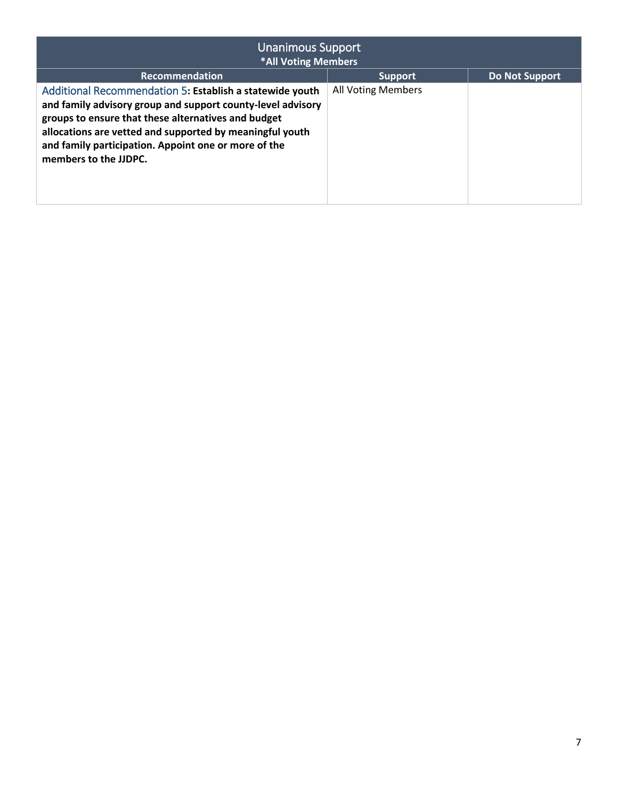<span id="page-6-0"></span>

| <b>Unanimous Support</b><br>*All Voting Members                                                                                                                                                                                                                                                                             |                           |                       |
|-----------------------------------------------------------------------------------------------------------------------------------------------------------------------------------------------------------------------------------------------------------------------------------------------------------------------------|---------------------------|-----------------------|
| <b>Recommendation</b>                                                                                                                                                                                                                                                                                                       | <b>Support</b>            | <b>Do Not Support</b> |
| Additional Recommendation 5: Establish a statewide youth<br>and family advisory group and support county-level advisory<br>groups to ensure that these alternatives and budget<br>allocations are vetted and supported by meaningful youth<br>and family participation. Appoint one or more of the<br>members to the JJDPC. | <b>All Voting Members</b> |                       |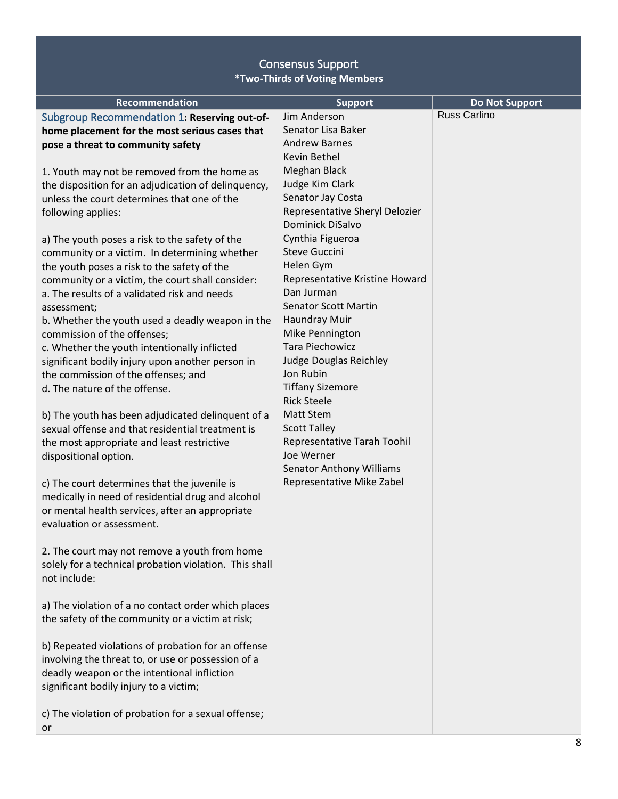<span id="page-7-1"></span><span id="page-7-0"></span>

| Recommendation                                         | <b>Support</b>                  | <b>Do Not Support</b><br><b>Russ Carlino</b> |
|--------------------------------------------------------|---------------------------------|----------------------------------------------|
| Subgroup Recommendation 1: Reserving out-of-           | Jim Anderson                    |                                              |
| home placement for the most serious cases that         | Senator Lisa Baker              |                                              |
| pose a threat to community safety                      | <b>Andrew Barnes</b>            |                                              |
|                                                        | Kevin Bethel                    |                                              |
| 1. Youth may not be removed from the home as           | Meghan Black                    |                                              |
| the disposition for an adjudication of delinquency,    | Judge Kim Clark                 |                                              |
| unless the court determines that one of the            | Senator Jay Costa               |                                              |
| following applies:                                     | Representative Sheryl Delozier  |                                              |
|                                                        | Dominick DiSalvo                |                                              |
| a) The youth poses a risk to the safety of the         | Cynthia Figueroa                |                                              |
| community or a victim. In determining whether          | <b>Steve Guccini</b>            |                                              |
| the youth poses a risk to the safety of the            | Helen Gym                       |                                              |
| community or a victim, the court shall consider:       | Representative Kristine Howard  |                                              |
| a. The results of a validated risk and needs           | Dan Jurman                      |                                              |
| assessment;                                            | <b>Senator Scott Martin</b>     |                                              |
| b. Whether the youth used a deadly weapon in the       | Haundray Muir                   |                                              |
| commission of the offenses;                            | Mike Pennington                 |                                              |
| c. Whether the youth intentionally inflicted           | <b>Tara Piechowicz</b>          |                                              |
| significant bodily injury upon another person in       | Judge Douglas Reichley          |                                              |
| the commission of the offenses; and                    | Jon Rubin                       |                                              |
| d. The nature of the offense.                          | <b>Tiffany Sizemore</b>         |                                              |
|                                                        | <b>Rick Steele</b>              |                                              |
| b) The youth has been adjudicated delinquent of a      | <b>Matt Stem</b>                |                                              |
| sexual offense and that residential treatment is       | <b>Scott Talley</b>             |                                              |
| the most appropriate and least restrictive             | Representative Tarah Toohil     |                                              |
| dispositional option.                                  | Joe Werner                      |                                              |
|                                                        | <b>Senator Anthony Williams</b> |                                              |
| c) The court determines that the juvenile is           | Representative Mike Zabel       |                                              |
| medically in need of residential drug and alcohol      |                                 |                                              |
| or mental health services, after an appropriate        |                                 |                                              |
| evaluation or assessment.                              |                                 |                                              |
|                                                        |                                 |                                              |
| 2. The court may not remove a youth from home          |                                 |                                              |
| solely for a technical probation violation. This shall |                                 |                                              |
| not include:                                           |                                 |                                              |
|                                                        |                                 |                                              |
| a) The violation of a no contact order which places    |                                 |                                              |
| the safety of the community or a victim at risk;       |                                 |                                              |
|                                                        |                                 |                                              |
| b) Repeated violations of probation for an offense     |                                 |                                              |
| involving the threat to, or use or possession of a     |                                 |                                              |
| deadly weapon or the intentional infliction            |                                 |                                              |
| significant bodily injury to a victim;                 |                                 |                                              |
|                                                        |                                 |                                              |
| c) The violation of probation for a sexual offense;    |                                 |                                              |
|                                                        |                                 |                                              |
| or                                                     |                                 |                                              |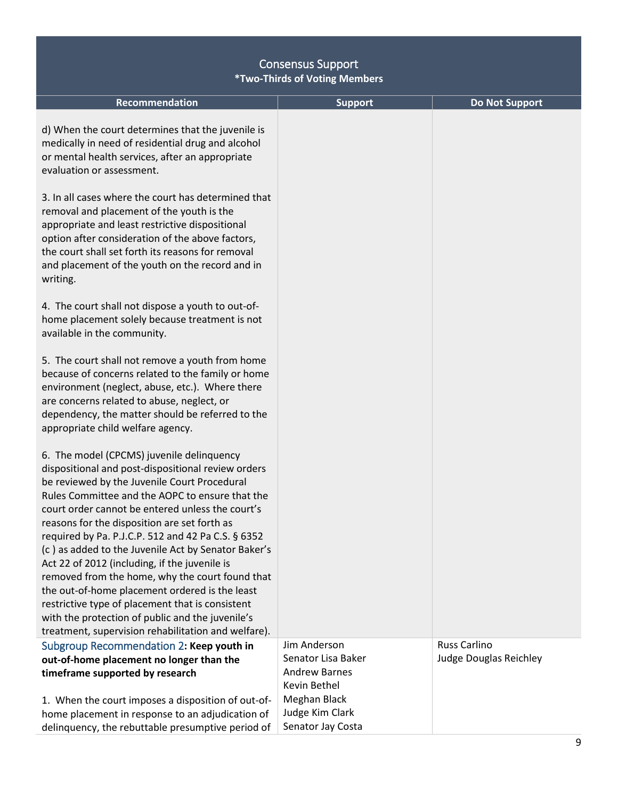<span id="page-8-0"></span>

| <b>Recommendation</b>                                                                                                                                                                                                                                                                                                                                                                                                                                                                                                                                                                                                                                                                                                                    | <b>Support</b>                                                                                                                     | <b>Do Not Support</b>                  |
|------------------------------------------------------------------------------------------------------------------------------------------------------------------------------------------------------------------------------------------------------------------------------------------------------------------------------------------------------------------------------------------------------------------------------------------------------------------------------------------------------------------------------------------------------------------------------------------------------------------------------------------------------------------------------------------------------------------------------------------|------------------------------------------------------------------------------------------------------------------------------------|----------------------------------------|
| d) When the court determines that the juvenile is<br>medically in need of residential drug and alcohol<br>or mental health services, after an appropriate<br>evaluation or assessment.                                                                                                                                                                                                                                                                                                                                                                                                                                                                                                                                                   |                                                                                                                                    |                                        |
| 3. In all cases where the court has determined that<br>removal and placement of the youth is the<br>appropriate and least restrictive dispositional<br>option after consideration of the above factors,<br>the court shall set forth its reasons for removal<br>and placement of the youth on the record and in<br>writing.                                                                                                                                                                                                                                                                                                                                                                                                              |                                                                                                                                    |                                        |
| 4. The court shall not dispose a youth to out-of-<br>home placement solely because treatment is not<br>available in the community.                                                                                                                                                                                                                                                                                                                                                                                                                                                                                                                                                                                                       |                                                                                                                                    |                                        |
| 5. The court shall not remove a youth from home<br>because of concerns related to the family or home<br>environment (neglect, abuse, etc.). Where there<br>are concerns related to abuse, neglect, or<br>dependency, the matter should be referred to the<br>appropriate child welfare agency.                                                                                                                                                                                                                                                                                                                                                                                                                                           |                                                                                                                                    |                                        |
| 6. The model (CPCMS) juvenile delinquency<br>dispositional and post-dispositional review orders<br>be reviewed by the Juvenile Court Procedural<br>Rules Committee and the AOPC to ensure that the<br>court order cannot be entered unless the court's<br>reasons for the disposition are set forth as<br>required by Pa. P.J.C.P. 512 and 42 Pa C.S. § 6352<br>(c) as added to the Juvenile Act by Senator Baker's<br>Act 22 of 2012 (including, if the juvenile is<br>removed from the home, why the court found that<br>the out-of-home placement ordered is the least<br>restrictive type of placement that is consistent<br>with the protection of public and the juvenile's<br>treatment, supervision rehabilitation and welfare). |                                                                                                                                    |                                        |
| Subgroup Recommendation 2: Keep youth in<br>out-of-home placement no longer than the<br>timeframe supported by research<br>1. When the court imposes a disposition of out-of-<br>home placement in response to an adjudication of<br>delinquency, the rebuttable presumptive period of                                                                                                                                                                                                                                                                                                                                                                                                                                                   | Jim Anderson<br>Senator Lisa Baker<br><b>Andrew Barnes</b><br>Kevin Bethel<br>Meghan Black<br>Judge Kim Clark<br>Senator Jay Costa | Russ Carlino<br>Judge Douglas Reichley |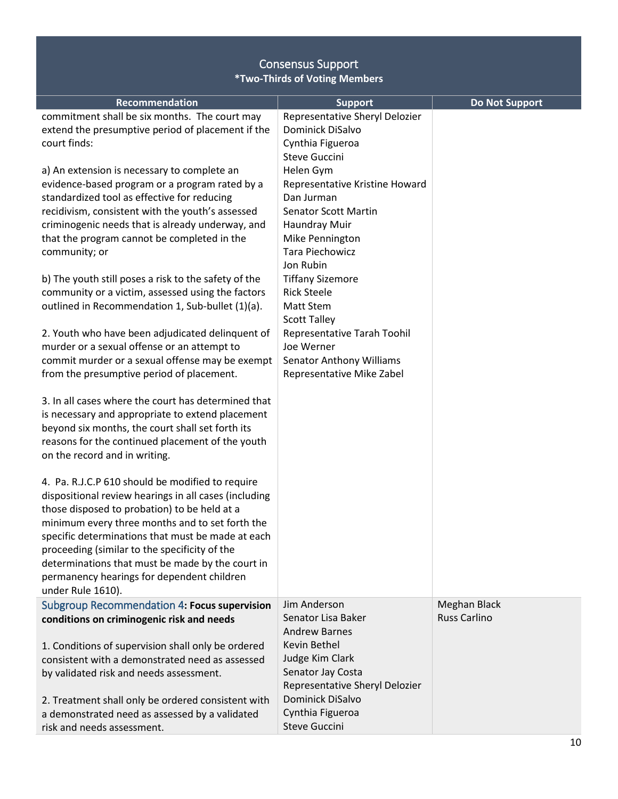<span id="page-9-0"></span>

| Recommendation<br>commitment shall be six months. The court may<br>extend the presumptive period of placement if the<br>court finds:<br>a) An extension is necessary to complete an<br>evidence-based program or a program rated by a<br>standardized tool as effective for reducing<br>recidivism, consistent with the youth's assessed<br>criminogenic needs that is already underway, and<br>that the program cannot be completed in the<br>community; or<br>b) The youth still poses a risk to the safety of the<br>community or a victim, assessed using the factors<br>outlined in Recommendation 1, Sub-bullet (1)(a).<br>2. Youth who have been adjudicated delinquent of<br>murder or a sexual offense or an attempt to<br>commit murder or a sexual offense may be exempt<br>from the presumptive period of placement. | <b>Support</b><br>Representative Sheryl Delozier<br>Dominick DiSalvo<br>Cynthia Figueroa<br><b>Steve Guccini</b><br>Helen Gym<br>Representative Kristine Howard<br>Dan Jurman<br>Senator Scott Martin<br>Haundray Muir<br>Mike Pennington<br>Tara Piechowicz<br>Jon Rubin<br><b>Tiffany Sizemore</b><br><b>Rick Steele</b><br>Matt Stem<br><b>Scott Talley</b><br>Representative Tarah Toohil<br>Joe Werner<br><b>Senator Anthony Williams</b><br>Representative Mike Zabel | <b>Do Not Support</b>               |
|----------------------------------------------------------------------------------------------------------------------------------------------------------------------------------------------------------------------------------------------------------------------------------------------------------------------------------------------------------------------------------------------------------------------------------------------------------------------------------------------------------------------------------------------------------------------------------------------------------------------------------------------------------------------------------------------------------------------------------------------------------------------------------------------------------------------------------|-----------------------------------------------------------------------------------------------------------------------------------------------------------------------------------------------------------------------------------------------------------------------------------------------------------------------------------------------------------------------------------------------------------------------------------------------------------------------------|-------------------------------------|
| 3. In all cases where the court has determined that<br>is necessary and appropriate to extend placement<br>beyond six months, the court shall set forth its<br>reasons for the continued placement of the youth<br>on the record and in writing.<br>4. Pa. R.J.C.P 610 should be modified to require<br>dispositional review hearings in all cases (including<br>those disposed to probation) to be held at a<br>minimum every three months and to set forth the<br>specific determinations that must be made at each<br>proceeding (similar to the specificity of the<br>determinations that must be made by the court in<br>permanency hearings for dependent children<br>under Rule 1610).                                                                                                                                    |                                                                                                                                                                                                                                                                                                                                                                                                                                                                             |                                     |
| Subgroup Recommendation 4: Focus supervision<br>conditions on criminogenic risk and needs<br>1. Conditions of supervision shall only be ordered<br>consistent with a demonstrated need as assessed<br>by validated risk and needs assessment.<br>2. Treatment shall only be ordered consistent with<br>a demonstrated need as assessed by a validated<br>risk and needs assessment.                                                                                                                                                                                                                                                                                                                                                                                                                                              | Jim Anderson<br>Senator Lisa Baker<br><b>Andrew Barnes</b><br>Kevin Bethel<br>Judge Kim Clark<br>Senator Jay Costa<br>Representative Sheryl Delozier<br>Dominick DiSalvo<br>Cynthia Figueroa<br><b>Steve Guccini</b>                                                                                                                                                                                                                                                        | Meghan Black<br><b>Russ Carlino</b> |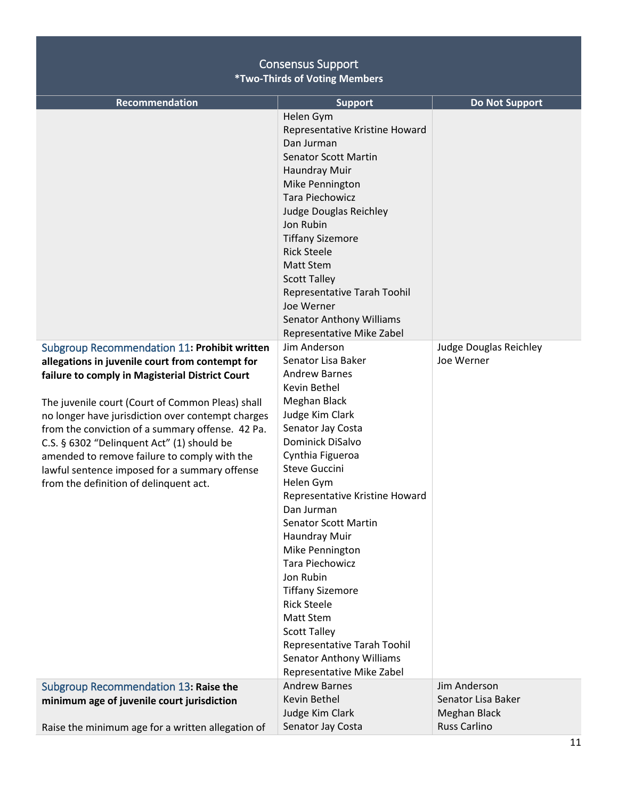# Consensus Support

**\*Two-Thirds of Voting Members**

<span id="page-10-1"></span><span id="page-10-0"></span>

| Recommendation                                                                                                                                                                                                                                                                                                                                                                                                                                                                                              | <b>Support</b>                                                                                                                                                                                                                                                                                                                                                                                                                                                                                                                                         | <b>Do Not Support</b>                      |
|-------------------------------------------------------------------------------------------------------------------------------------------------------------------------------------------------------------------------------------------------------------------------------------------------------------------------------------------------------------------------------------------------------------------------------------------------------------------------------------------------------------|--------------------------------------------------------------------------------------------------------------------------------------------------------------------------------------------------------------------------------------------------------------------------------------------------------------------------------------------------------------------------------------------------------------------------------------------------------------------------------------------------------------------------------------------------------|--------------------------------------------|
|                                                                                                                                                                                                                                                                                                                                                                                                                                                                                                             | Helen Gym<br>Representative Kristine Howard<br>Dan Jurman<br><b>Senator Scott Martin</b><br>Haundray Muir<br>Mike Pennington<br><b>Tara Piechowicz</b><br>Judge Douglas Reichley<br>Jon Rubin<br><b>Tiffany Sizemore</b><br><b>Rick Steele</b><br><b>Matt Stem</b><br><b>Scott Talley</b><br>Representative Tarah Toohil<br>Joe Werner<br><b>Senator Anthony Williams</b><br>Representative Mike Zabel                                                                                                                                                 |                                            |
| Subgroup Recommendation 11: Prohibit written<br>allegations in juvenile court from contempt for<br>failure to comply in Magisterial District Court<br>The juvenile court (Court of Common Pleas) shall<br>no longer have jurisdiction over contempt charges<br>from the conviction of a summary offense. 42 Pa.<br>C.S. $\S$ 6302 "Delinquent Act" (1) should be<br>amended to remove failure to comply with the<br>lawful sentence imposed for a summary offense<br>from the definition of delinquent act. | Jim Anderson<br>Senator Lisa Baker<br><b>Andrew Barnes</b><br>Kevin Bethel<br>Meghan Black<br>Judge Kim Clark<br>Senator Jay Costa<br>Dominick DiSalvo<br>Cynthia Figueroa<br><b>Steve Guccini</b><br>Helen Gym<br>Representative Kristine Howard<br>Dan Jurman<br><b>Senator Scott Martin</b><br>Haundray Muir<br>Mike Pennington<br>Tara Piechowicz<br>Jon Rubin<br><b>Tiffany Sizemore</b><br><b>Rick Steele</b><br>Matt Stem<br><b>Scott Talley</b><br>Representative Tarah Toohil<br><b>Senator Anthony Williams</b><br>Representative Mike Zabel | Judge Douglas Reichley<br>Joe Werner       |
| Subgroup Recommendation 13: Raise the<br>minimum age of juvenile court jurisdiction                                                                                                                                                                                                                                                                                                                                                                                                                         | <b>Andrew Barnes</b><br>Kevin Bethel                                                                                                                                                                                                                                                                                                                                                                                                                                                                                                                   | Jim Anderson<br>Senator Lisa Baker         |
| Raise the minimum age for a written allegation of                                                                                                                                                                                                                                                                                                                                                                                                                                                           | Judge Kim Clark<br>Senator Jay Costa                                                                                                                                                                                                                                                                                                                                                                                                                                                                                                                   | <b>Meghan Black</b><br><b>Russ Carlino</b> |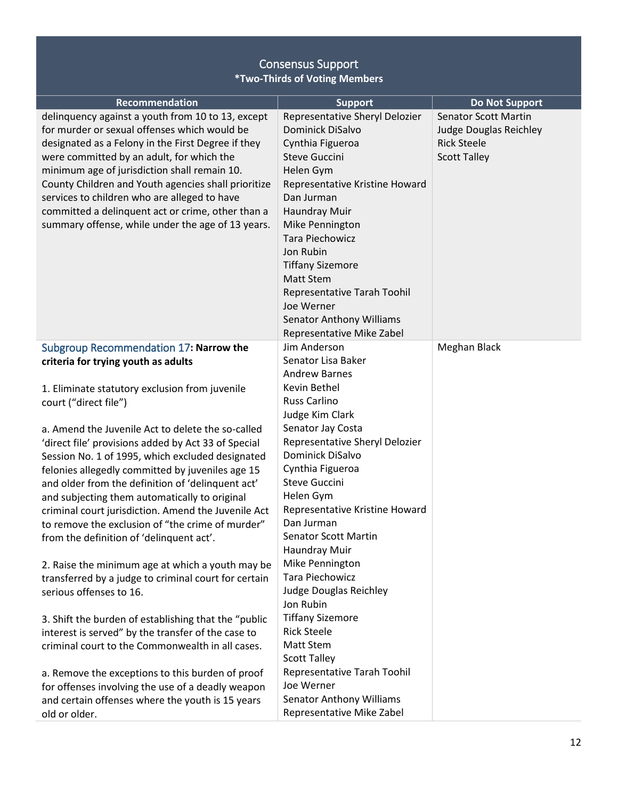<span id="page-11-0"></span>

| <b>Recommendation</b>                                                                                                                                                                                                                                                                                                                                                                                                                                                                                                                                                                                                                                                                                                                                                                                                                                                                                                                                                                                  | <b>Support</b>                                                                                                                                                                                                                                                                                                                                                                                                                                                                                                                                                   | <b>Do Not Support</b>                                                                              |
|--------------------------------------------------------------------------------------------------------------------------------------------------------------------------------------------------------------------------------------------------------------------------------------------------------------------------------------------------------------------------------------------------------------------------------------------------------------------------------------------------------------------------------------------------------------------------------------------------------------------------------------------------------------------------------------------------------------------------------------------------------------------------------------------------------------------------------------------------------------------------------------------------------------------------------------------------------------------------------------------------------|------------------------------------------------------------------------------------------------------------------------------------------------------------------------------------------------------------------------------------------------------------------------------------------------------------------------------------------------------------------------------------------------------------------------------------------------------------------------------------------------------------------------------------------------------------------|----------------------------------------------------------------------------------------------------|
| delinquency against a youth from 10 to 13, except<br>for murder or sexual offenses which would be<br>designated as a Felony in the First Degree if they<br>were committed by an adult, for which the<br>minimum age of jurisdiction shall remain 10.<br>County Children and Youth agencies shall prioritize<br>services to children who are alleged to have<br>committed a delinquent act or crime, other than a<br>summary offense, while under the age of 13 years.                                                                                                                                                                                                                                                                                                                                                                                                                                                                                                                                  | Representative Sheryl Delozier<br>Dominick DiSalvo<br>Cynthia Figueroa<br><b>Steve Guccini</b><br>Helen Gym<br>Representative Kristine Howard<br>Dan Jurman<br>Haundray Muir<br>Mike Pennington<br>Tara Piechowicz<br>Jon Rubin<br><b>Tiffany Sizemore</b><br><b>Matt Stem</b><br>Representative Tarah Toohil<br>Joe Werner<br><b>Senator Anthony Williams</b><br>Representative Mike Zabel                                                                                                                                                                      | <b>Senator Scott Martin</b><br>Judge Douglas Reichley<br><b>Rick Steele</b><br><b>Scott Talley</b> |
| Subgroup Recommendation 17: Narrow the<br>criteria for trying youth as adults<br>1. Eliminate statutory exclusion from juvenile<br>court ("direct file")<br>a. Amend the Juvenile Act to delete the so-called<br>'direct file' provisions added by Act 33 of Special<br>Session No. 1 of 1995, which excluded designated<br>felonies allegedly committed by juveniles age 15<br>and older from the definition of 'delinquent act'<br>and subjecting them automatically to original<br>criminal court jurisdiction. Amend the Juvenile Act<br>to remove the exclusion of "the crime of murder"<br>from the definition of 'delinquent act'.<br>2. Raise the minimum age at which a youth may be<br>transferred by a judge to criminal court for certain<br>serious offenses to 16.<br>3. Shift the burden of establishing that the "public<br>interest is served" by the transfer of the case to<br>criminal court to the Commonwealth in all cases.<br>a. Remove the exceptions to this burden of proof | Jim Anderson<br>Senator Lisa Baker<br><b>Andrew Barnes</b><br>Kevin Bethel<br><b>Russ Carlino</b><br>Judge Kim Clark<br>Senator Jay Costa<br>Representative Sheryl Delozier<br>Dominick DiSalvo<br>Cynthia Figueroa<br>Steve Guccini<br>Helen Gym<br>Representative Kristine Howard<br>Dan Jurman<br><b>Senator Scott Martin</b><br>Haundray Muir<br>Mike Pennington<br><b>Tara Piechowicz</b><br>Judge Douglas Reichley<br>Jon Rubin<br><b>Tiffany Sizemore</b><br><b>Rick Steele</b><br><b>Matt Stem</b><br><b>Scott Talley</b><br>Representative Tarah Toohil | Meghan Black                                                                                       |
| for offenses involving the use of a deadly weapon<br>and certain offenses where the youth is 15 years<br>old or older.                                                                                                                                                                                                                                                                                                                                                                                                                                                                                                                                                                                                                                                                                                                                                                                                                                                                                 | Joe Werner<br><b>Senator Anthony Williams</b><br>Representative Mike Zabel                                                                                                                                                                                                                                                                                                                                                                                                                                                                                       |                                                                                                    |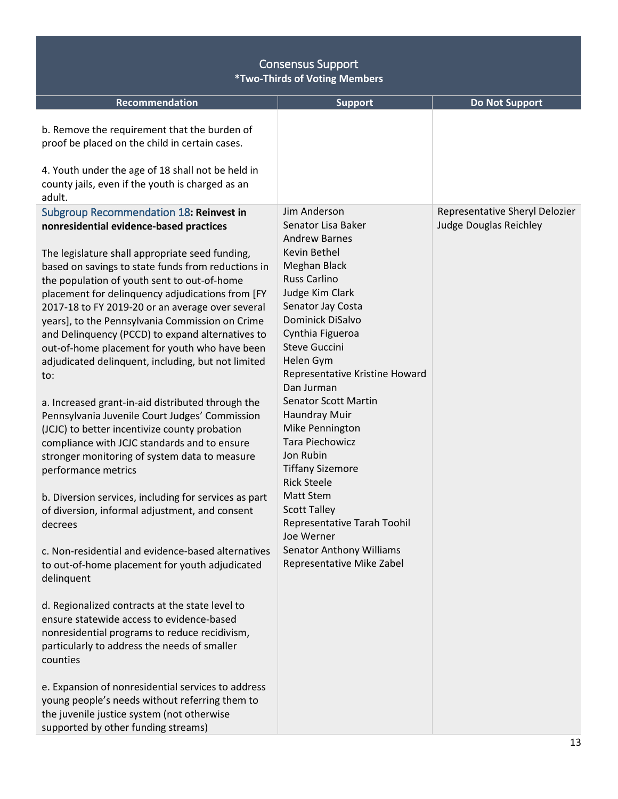<span id="page-12-0"></span>

| <b>Consensus Support</b><br><b>*Two-Thirds of Voting Members</b>                                                                                                                                                                                                                                                                                                                                                                                                                                                                                                                                                                                                                                                                                                                                                                                        |                                                                                                                                                                                                                                                                                                                                                                                                                                                          |                                                                 |
|---------------------------------------------------------------------------------------------------------------------------------------------------------------------------------------------------------------------------------------------------------------------------------------------------------------------------------------------------------------------------------------------------------------------------------------------------------------------------------------------------------------------------------------------------------------------------------------------------------------------------------------------------------------------------------------------------------------------------------------------------------------------------------------------------------------------------------------------------------|----------------------------------------------------------------------------------------------------------------------------------------------------------------------------------------------------------------------------------------------------------------------------------------------------------------------------------------------------------------------------------------------------------------------------------------------------------|-----------------------------------------------------------------|
| Recommendation                                                                                                                                                                                                                                                                                                                                                                                                                                                                                                                                                                                                                                                                                                                                                                                                                                          | <b>Support</b>                                                                                                                                                                                                                                                                                                                                                                                                                                           | <b>Do Not Support</b>                                           |
| b. Remove the requirement that the burden of<br>proof be placed on the child in certain cases.                                                                                                                                                                                                                                                                                                                                                                                                                                                                                                                                                                                                                                                                                                                                                          |                                                                                                                                                                                                                                                                                                                                                                                                                                                          |                                                                 |
| 4. Youth under the age of 18 shall not be held in<br>county jails, even if the youth is charged as an<br>adult.                                                                                                                                                                                                                                                                                                                                                                                                                                                                                                                                                                                                                                                                                                                                         |                                                                                                                                                                                                                                                                                                                                                                                                                                                          |                                                                 |
| Subgroup Recommendation 18: Reinvest in<br>nonresidential evidence-based practices<br>The legislature shall appropriate seed funding,<br>based on savings to state funds from reductions in<br>the population of youth sent to out-of-home<br>placement for delinquency adjudications from [FY<br>2017-18 to FY 2019-20 or an average over several<br>years], to the Pennsylvania Commission on Crime<br>and Delinquency (PCCD) to expand alternatives to<br>out-of-home placement for youth who have been<br>adjudicated delinquent, including, but not limited<br>to:<br>a. Increased grant-in-aid distributed through the<br>Pennsylvania Juvenile Court Judges' Commission<br>(JCJC) to better incentivize county probation<br>compliance with JCJC standards and to ensure<br>stronger monitoring of system data to measure<br>performance metrics | Jim Anderson<br>Senator Lisa Baker<br><b>Andrew Barnes</b><br>Kevin Bethel<br>Meghan Black<br><b>Russ Carlino</b><br>Judge Kim Clark<br>Senator Jay Costa<br><b>Dominick DiSalvo</b><br>Cynthia Figueroa<br><b>Steve Guccini</b><br>Helen Gym<br>Representative Kristine Howard<br>Dan Jurman<br><b>Senator Scott Martin</b><br>Haundray Muir<br>Mike Pennington<br><b>Tara Piechowicz</b><br>Jon Rubin<br><b>Tiffany Sizemore</b><br><b>Rick Steele</b> | Representative Sheryl Delozier<br><b>Judge Douglas Reichley</b> |
| b. Diversion services, including for services as part<br>of diversion, informal adjustment, and consent<br>decrees                                                                                                                                                                                                                                                                                                                                                                                                                                                                                                                                                                                                                                                                                                                                      | <b>Matt Stem</b><br><b>Scott Talley</b><br>Representative Tarah Toohil<br>Joe Werner                                                                                                                                                                                                                                                                                                                                                                     |                                                                 |
| c. Non-residential and evidence-based alternatives<br>to out-of-home placement for youth adjudicated<br>delinquent                                                                                                                                                                                                                                                                                                                                                                                                                                                                                                                                                                                                                                                                                                                                      | <b>Senator Anthony Williams</b><br>Representative Mike Zabel                                                                                                                                                                                                                                                                                                                                                                                             |                                                                 |
| d. Regionalized contracts at the state level to<br>ensure statewide access to evidence-based<br>nonresidential programs to reduce recidivism,<br>particularly to address the needs of smaller<br>counties                                                                                                                                                                                                                                                                                                                                                                                                                                                                                                                                                                                                                                               |                                                                                                                                                                                                                                                                                                                                                                                                                                                          |                                                                 |
| e. Expansion of nonresidential services to address<br>young people's needs without referring them to<br>the juvenile justice system (not otherwise<br>supported by other funding streams)                                                                                                                                                                                                                                                                                                                                                                                                                                                                                                                                                                                                                                                               |                                                                                                                                                                                                                                                                                                                                                                                                                                                          |                                                                 |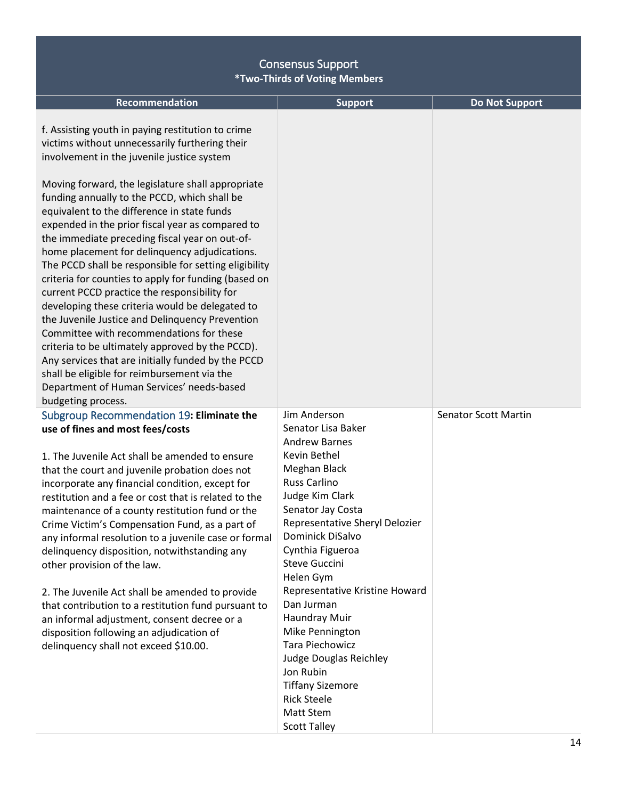<span id="page-13-0"></span>

| Recommendation                                                                                                                                                                                                                                                                                                                                                                                                                                                                                                                                                                                                                                                                                                                                                                                                                                                                                                                           | <b>Support</b>                                                                                                                                                                                                                  | <b>Do Not Support</b>       |
|------------------------------------------------------------------------------------------------------------------------------------------------------------------------------------------------------------------------------------------------------------------------------------------------------------------------------------------------------------------------------------------------------------------------------------------------------------------------------------------------------------------------------------------------------------------------------------------------------------------------------------------------------------------------------------------------------------------------------------------------------------------------------------------------------------------------------------------------------------------------------------------------------------------------------------------|---------------------------------------------------------------------------------------------------------------------------------------------------------------------------------------------------------------------------------|-----------------------------|
| f. Assisting youth in paying restitution to crime<br>victims without unnecessarily furthering their<br>involvement in the juvenile justice system<br>Moving forward, the legislature shall appropriate<br>funding annually to the PCCD, which shall be<br>equivalent to the difference in state funds<br>expended in the prior fiscal year as compared to<br>the immediate preceding fiscal year on out-of-<br>home placement for delinquency adjudications.<br>The PCCD shall be responsible for setting eligibility<br>criteria for counties to apply for funding (based on<br>current PCCD practice the responsibility for<br>developing these criteria would be delegated to<br>the Juvenile Justice and Delinquency Prevention<br>Committee with recommendations for these<br>criteria to be ultimately approved by the PCCD).<br>Any services that are initially funded by the PCCD<br>shall be eligible for reimbursement via the |                                                                                                                                                                                                                                 |                             |
| Department of Human Services' needs-based                                                                                                                                                                                                                                                                                                                                                                                                                                                                                                                                                                                                                                                                                                                                                                                                                                                                                                |                                                                                                                                                                                                                                 |                             |
| budgeting process.                                                                                                                                                                                                                                                                                                                                                                                                                                                                                                                                                                                                                                                                                                                                                                                                                                                                                                                       |                                                                                                                                                                                                                                 |                             |
| Subgroup Recommendation 19: Eliminate the<br>use of fines and most fees/costs                                                                                                                                                                                                                                                                                                                                                                                                                                                                                                                                                                                                                                                                                                                                                                                                                                                            | Jim Anderson<br>Senator Lisa Baker<br><b>Andrew Barnes</b>                                                                                                                                                                      | <b>Senator Scott Martin</b> |
| 1. The Juvenile Act shall be amended to ensure<br>that the court and juvenile probation does not<br>incorporate any financial condition, except for<br>restitution and a fee or cost that is related to the<br>maintenance of a county restitution fund or the<br>Crime Victim's Compensation Fund, as a part of<br>any informal resolution to a juvenile case or formal<br>delinquency disposition, notwithstanding any<br>other provision of the law.                                                                                                                                                                                                                                                                                                                                                                                                                                                                                  | Kevin Bethel<br>Meghan Black<br>Russ Carlino<br>Judge Kim Clark<br>Senator Jay Costa<br>Representative Sheryl Delozier<br>Dominick DiSalvo<br>Cynthia Figueroa<br><b>Steve Guccini</b><br>Helen Gym                             |                             |
| 2. The Juvenile Act shall be amended to provide<br>that contribution to a restitution fund pursuant to<br>an informal adjustment, consent decree or a<br>disposition following an adjudication of<br>delinquency shall not exceed \$10.00.                                                                                                                                                                                                                                                                                                                                                                                                                                                                                                                                                                                                                                                                                               | Representative Kristine Howard<br>Dan Jurman<br>Haundray Muir<br>Mike Pennington<br>Tara Piechowicz<br>Judge Douglas Reichley<br>Jon Rubin<br><b>Tiffany Sizemore</b><br><b>Rick Steele</b><br>Matt Stem<br><b>Scott Talley</b> |                             |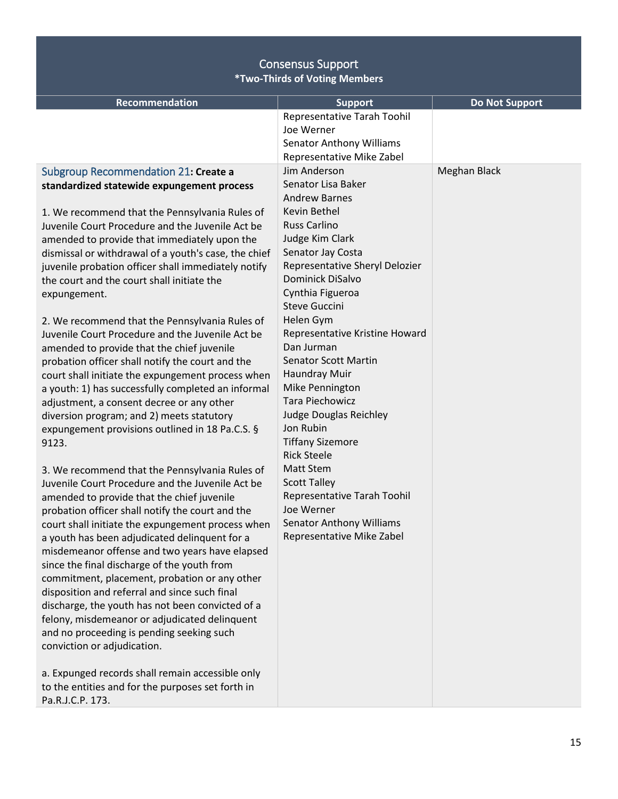<span id="page-14-0"></span>

| <b>Recommendation</b>                                                                             | <b>Support</b>                      | <b>Do Not Support</b> |
|---------------------------------------------------------------------------------------------------|-------------------------------------|-----------------------|
|                                                                                                   | Representative Tarah Toohil         |                       |
|                                                                                                   | Joe Werner                          |                       |
|                                                                                                   | <b>Senator Anthony Williams</b>     |                       |
|                                                                                                   | Representative Mike Zabel           |                       |
| Subgroup Recommendation 21: Create a                                                              | Jim Anderson                        | Meghan Black          |
| standardized statewide expungement process                                                        | Senator Lisa Baker                  |                       |
|                                                                                                   | <b>Andrew Barnes</b>                |                       |
| 1. We recommend that the Pennsylvania Rules of                                                    | Kevin Bethel<br><b>Russ Carlino</b> |                       |
| Juvenile Court Procedure and the Juvenile Act be                                                  | Judge Kim Clark                     |                       |
| amended to provide that immediately upon the                                                      | Senator Jay Costa                   |                       |
| dismissal or withdrawal of a youth's case, the chief                                              | Representative Sheryl Delozier      |                       |
| juvenile probation officer shall immediately notify<br>the court and the court shall initiate the | Dominick DiSalvo                    |                       |
|                                                                                                   | Cynthia Figueroa                    |                       |
| expungement.                                                                                      | <b>Steve Guccini</b>                |                       |
| 2. We recommend that the Pennsylvania Rules of                                                    | Helen Gym                           |                       |
| Juvenile Court Procedure and the Juvenile Act be                                                  | Representative Kristine Howard      |                       |
| amended to provide that the chief juvenile                                                        | Dan Jurman                          |                       |
| probation officer shall notify the court and the                                                  | <b>Senator Scott Martin</b>         |                       |
| court shall initiate the expungement process when                                                 | Haundray Muir                       |                       |
| a youth: 1) has successfully completed an informal                                                | Mike Pennington                     |                       |
| adjustment, a consent decree or any other                                                         | <b>Tara Piechowicz</b>              |                       |
| diversion program; and 2) meets statutory                                                         | Judge Douglas Reichley              |                       |
| expungement provisions outlined in 18 Pa.C.S. §                                                   | Jon Rubin                           |                       |
| 9123.                                                                                             | <b>Tiffany Sizemore</b>             |                       |
|                                                                                                   | <b>Rick Steele</b>                  |                       |
| 3. We recommend that the Pennsylvania Rules of                                                    | Matt Stem                           |                       |
| Juvenile Court Procedure and the Juvenile Act be                                                  | <b>Scott Talley</b>                 |                       |
| amended to provide that the chief juvenile                                                        | Representative Tarah Toohil         |                       |
| probation officer shall notify the court and the                                                  | Joe Werner                          |                       |
| court shall initiate the expungement process when                                                 | <b>Senator Anthony Williams</b>     |                       |
| a youth has been adjudicated delinquent for a                                                     | Representative Mike Zabel           |                       |
| misdemeanor offense and two years have elapsed                                                    |                                     |                       |
| since the final discharge of the youth from                                                       |                                     |                       |
| commitment, placement, probation or any other                                                     |                                     |                       |
| disposition and referral and since such final                                                     |                                     |                       |
| discharge, the youth has not been convicted of a                                                  |                                     |                       |
| felony, misdemeanor or adjudicated delinquent                                                     |                                     |                       |
| and no proceeding is pending seeking such                                                         |                                     |                       |
| conviction or adjudication.                                                                       |                                     |                       |
| a. Expunged records shall remain accessible only                                                  |                                     |                       |
| to the entities and for the purposes set forth in                                                 |                                     |                       |
| Pa.R.J.C.P. 173.                                                                                  |                                     |                       |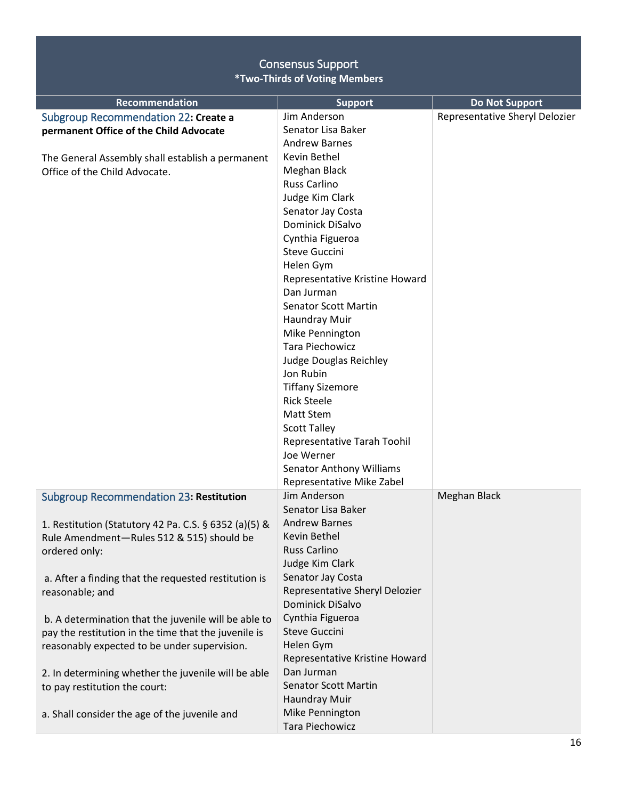<span id="page-15-1"></span><span id="page-15-0"></span>

| Recommendation                                        | <b>Support</b>                  | <b>Do Not Support</b>          |
|-------------------------------------------------------|---------------------------------|--------------------------------|
| Subgroup Recommendation 22: Create a                  | Jim Anderson                    | Representative Sheryl Delozier |
| permanent Office of the Child Advocate                | Senator Lisa Baker              |                                |
|                                                       | <b>Andrew Barnes</b>            |                                |
| The General Assembly shall establish a permanent      | Kevin Bethel                    |                                |
| Office of the Child Advocate.                         | Meghan Black                    |                                |
|                                                       | <b>Russ Carlino</b>             |                                |
|                                                       | Judge Kim Clark                 |                                |
|                                                       | Senator Jay Costa               |                                |
|                                                       | <b>Dominick DiSalvo</b>         |                                |
|                                                       | Cynthia Figueroa                |                                |
|                                                       | <b>Steve Guccini</b>            |                                |
|                                                       | Helen Gym                       |                                |
|                                                       | Representative Kristine Howard  |                                |
|                                                       | Dan Jurman                      |                                |
|                                                       | <b>Senator Scott Martin</b>     |                                |
|                                                       | Haundray Muir                   |                                |
|                                                       | Mike Pennington                 |                                |
|                                                       | <b>Tara Piechowicz</b>          |                                |
|                                                       | Judge Douglas Reichley          |                                |
|                                                       | Jon Rubin                       |                                |
|                                                       | <b>Tiffany Sizemore</b>         |                                |
|                                                       | <b>Rick Steele</b>              |                                |
|                                                       | Matt Stem                       |                                |
|                                                       | <b>Scott Talley</b>             |                                |
|                                                       | Representative Tarah Toohil     |                                |
|                                                       | Joe Werner                      |                                |
|                                                       | <b>Senator Anthony Williams</b> |                                |
|                                                       | Representative Mike Zabel       |                                |
| <b>Subgroup Recommendation 23: Restitution</b>        | Jim Anderson                    | Meghan Black                   |
|                                                       | Senator Lisa Baker              |                                |
| 1. Restitution (Statutory 42 Pa. C.S. § 6352 (a)(5) & | <b>Andrew Barnes</b>            |                                |
| Rule Amendment-Rules 512 & 515) should be             | Kevin Bethel                    |                                |
| ordered only:                                         | <b>Russ Carlino</b>             |                                |
|                                                       | Judge Kim Clark                 |                                |
| a. After a finding that the requested restitution is  | Senator Jay Costa               |                                |
| reasonable; and                                       | Representative Sheryl Delozier  |                                |
|                                                       | Dominick DiSalvo                |                                |
| b. A determination that the juvenile will be able to  | Cynthia Figueroa                |                                |
| pay the restitution in the time that the juvenile is  | <b>Steve Guccini</b>            |                                |
| reasonably expected to be under supervision.          | Helen Gym                       |                                |
|                                                       | Representative Kristine Howard  |                                |
| 2. In determining whether the juvenile will be able   | Dan Jurman                      |                                |
| to pay restitution the court:                         | <b>Senator Scott Martin</b>     |                                |
|                                                       | Haundray Muir                   |                                |
| a. Shall consider the age of the juvenile and         | Mike Pennington                 |                                |
|                                                       | Tara Piechowicz                 |                                |
|                                                       |                                 |                                |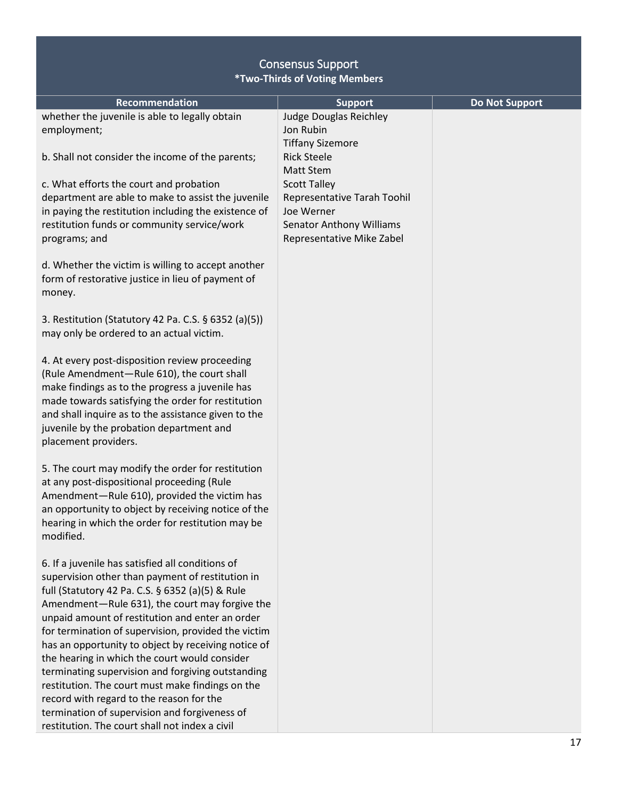| <b>Recommendation</b>                                | <b>Support</b>                  | <b>Do Not Support</b> |
|------------------------------------------------------|---------------------------------|-----------------------|
| whether the juvenile is able to legally obtain       | <b>Judge Douglas Reichley</b>   |                       |
| employment;                                          | Jon Rubin                       |                       |
|                                                      | <b>Tiffany Sizemore</b>         |                       |
| b. Shall not consider the income of the parents;     | <b>Rick Steele</b>              |                       |
|                                                      | <b>Matt Stem</b>                |                       |
| c. What efforts the court and probation              | <b>Scott Talley</b>             |                       |
| department are able to make to assist the juvenile   | Representative Tarah Toohil     |                       |
| in paying the restitution including the existence of | Joe Werner                      |                       |
| restitution funds or community service/work          | <b>Senator Anthony Williams</b> |                       |
| programs; and                                        | Representative Mike Zabel       |                       |
|                                                      |                                 |                       |
| d. Whether the victim is willing to accept another   |                                 |                       |
| form of restorative justice in lieu of payment of    |                                 |                       |
| money.                                               |                                 |                       |
|                                                      |                                 |                       |
| 3. Restitution (Statutory 42 Pa. C.S. § 6352 (a)(5)) |                                 |                       |
| may only be ordered to an actual victim.             |                                 |                       |
|                                                      |                                 |                       |
| 4. At every post-disposition review proceeding       |                                 |                       |
| (Rule Amendment-Rule 610), the court shall           |                                 |                       |
| make findings as to the progress a juvenile has      |                                 |                       |
| made towards satisfying the order for restitution    |                                 |                       |
| and shall inquire as to the assistance given to the  |                                 |                       |
| juvenile by the probation department and             |                                 |                       |
| placement providers.                                 |                                 |                       |
|                                                      |                                 |                       |
| 5. The court may modify the order for restitution    |                                 |                       |
| at any post-dispositional proceeding (Rule           |                                 |                       |
| Amendment-Rule 610), provided the victim has         |                                 |                       |
| an opportunity to object by receiving notice of the  |                                 |                       |
| hearing in which the order for restitution may be    |                                 |                       |
| modified.                                            |                                 |                       |
|                                                      |                                 |                       |
| 6. If a juvenile has satisfied all conditions of     |                                 |                       |
| supervision other than payment of restitution in     |                                 |                       |
| full (Statutory 42 Pa. C.S. § 6352 (a)(5) & Rule     |                                 |                       |
| Amendment-Rule 631), the court may forgive the       |                                 |                       |
| unpaid amount of restitution and enter an order      |                                 |                       |
| for termination of supervision, provided the victim  |                                 |                       |
| has an opportunity to object by receiving notice of  |                                 |                       |
| the hearing in which the court would consider        |                                 |                       |
| terminating supervision and forgiving outstanding    |                                 |                       |
| restitution. The court must make findings on the     |                                 |                       |
| record with regard to the reason for the             |                                 |                       |
| termination of supervision and forgiveness of        |                                 |                       |
| restitution. The court shall not index a civil       |                                 |                       |
|                                                      |                                 |                       |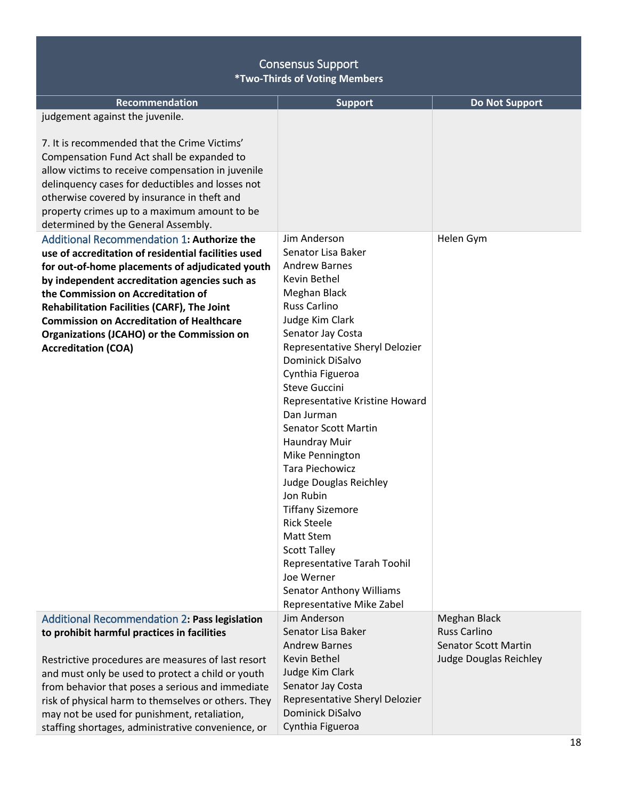<span id="page-17-1"></span><span id="page-17-0"></span>

| <b>Recommendation</b>                                                                                                                                                                                                                                                                                                                     | <b>Support</b>                             | <b>Do Not Support</b>                              |
|-------------------------------------------------------------------------------------------------------------------------------------------------------------------------------------------------------------------------------------------------------------------------------------------------------------------------------------------|--------------------------------------------|----------------------------------------------------|
| judgement against the juvenile.                                                                                                                                                                                                                                                                                                           |                                            |                                                    |
| 7. It is recommended that the Crime Victims'<br>Compensation Fund Act shall be expanded to<br>allow victims to receive compensation in juvenile<br>delinquency cases for deductibles and losses not<br>otherwise covered by insurance in theft and<br>property crimes up to a maximum amount to be<br>determined by the General Assembly. |                                            |                                                    |
| Additional Recommendation 1: Authorize the                                                                                                                                                                                                                                                                                                | Jim Anderson                               | Helen Gym                                          |
| use of accreditation of residential facilities used                                                                                                                                                                                                                                                                                       | Senator Lisa Baker                         |                                                    |
| for out-of-home placements of adjudicated youth                                                                                                                                                                                                                                                                                           | <b>Andrew Barnes</b>                       |                                                    |
| by independent accreditation agencies such as                                                                                                                                                                                                                                                                                             | Kevin Bethel                               |                                                    |
| the Commission on Accreditation of                                                                                                                                                                                                                                                                                                        | Meghan Black                               |                                                    |
| Rehabilitation Facilities (CARF), The Joint                                                                                                                                                                                                                                                                                               | <b>Russ Carlino</b>                        |                                                    |
| <b>Commission on Accreditation of Healthcare</b>                                                                                                                                                                                                                                                                                          | Judge Kim Clark<br>Senator Jay Costa       |                                                    |
| <b>Organizations (JCAHO) or the Commission on</b><br><b>Accreditation (COA)</b>                                                                                                                                                                                                                                                           | Representative Sheryl Delozier             |                                                    |
|                                                                                                                                                                                                                                                                                                                                           | Dominick DiSalvo                           |                                                    |
|                                                                                                                                                                                                                                                                                                                                           | Cynthia Figueroa                           |                                                    |
|                                                                                                                                                                                                                                                                                                                                           | <b>Steve Guccini</b>                       |                                                    |
|                                                                                                                                                                                                                                                                                                                                           | Representative Kristine Howard             |                                                    |
|                                                                                                                                                                                                                                                                                                                                           | Dan Jurman                                 |                                                    |
|                                                                                                                                                                                                                                                                                                                                           | <b>Senator Scott Martin</b>                |                                                    |
|                                                                                                                                                                                                                                                                                                                                           | Haundray Muir                              |                                                    |
|                                                                                                                                                                                                                                                                                                                                           | Mike Pennington                            |                                                    |
|                                                                                                                                                                                                                                                                                                                                           | <b>Tara Piechowicz</b>                     |                                                    |
|                                                                                                                                                                                                                                                                                                                                           | Judge Douglas Reichley<br>Jon Rubin        |                                                    |
|                                                                                                                                                                                                                                                                                                                                           | <b>Tiffany Sizemore</b>                    |                                                    |
|                                                                                                                                                                                                                                                                                                                                           | <b>Rick Steele</b>                         |                                                    |
|                                                                                                                                                                                                                                                                                                                                           | Matt Stem                                  |                                                    |
|                                                                                                                                                                                                                                                                                                                                           | <b>Scott Talley</b>                        |                                                    |
|                                                                                                                                                                                                                                                                                                                                           | Representative Tarah Toohil                |                                                    |
|                                                                                                                                                                                                                                                                                                                                           | Joe Werner                                 |                                                    |
|                                                                                                                                                                                                                                                                                                                                           | <b>Senator Anthony Williams</b>            |                                                    |
|                                                                                                                                                                                                                                                                                                                                           | Representative Mike Zabel                  |                                                    |
| Additional Recommendation 2: Pass legislation                                                                                                                                                                                                                                                                                             | Jim Anderson                               | Meghan Black                                       |
| to prohibit harmful practices in facilities                                                                                                                                                                                                                                                                                               | Senator Lisa Baker<br><b>Andrew Barnes</b> | <b>Russ Carlino</b><br><b>Senator Scott Martin</b> |
|                                                                                                                                                                                                                                                                                                                                           | Kevin Bethel                               | Judge Douglas Reichley                             |
| Restrictive procedures are measures of last resort<br>and must only be used to protect a child or youth                                                                                                                                                                                                                                   | Judge Kim Clark                            |                                                    |
| from behavior that poses a serious and immediate                                                                                                                                                                                                                                                                                          | Senator Jay Costa                          |                                                    |
| risk of physical harm to themselves or others. They                                                                                                                                                                                                                                                                                       | Representative Sheryl Delozier             |                                                    |
| may not be used for punishment, retaliation,                                                                                                                                                                                                                                                                                              | Dominick DiSalvo                           |                                                    |
| staffing shortages, administrative convenience, or                                                                                                                                                                                                                                                                                        | Cynthia Figueroa                           |                                                    |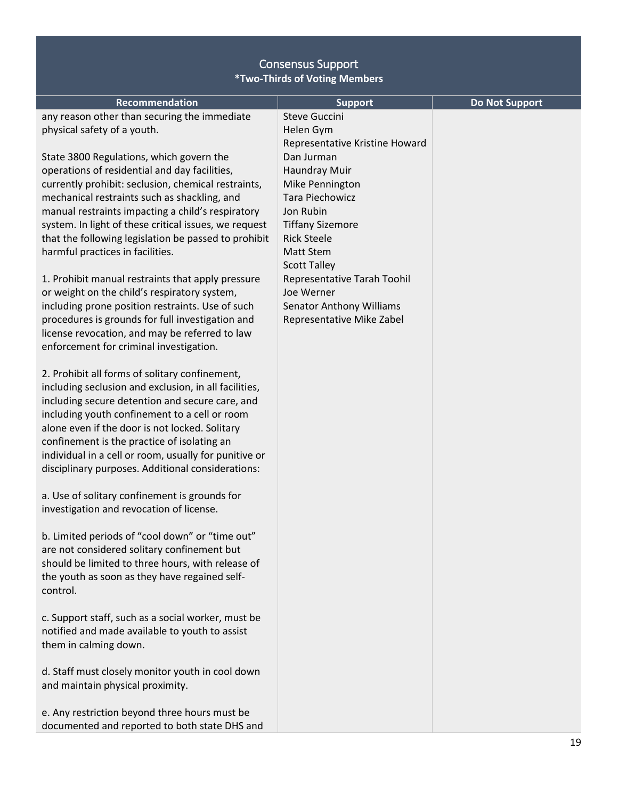| <b>Recommendation</b>                                                                              | <b>Support</b>                  | <b>Do Not Support</b> |
|----------------------------------------------------------------------------------------------------|---------------------------------|-----------------------|
| any reason other than securing the immediate                                                       | <b>Steve Guccini</b>            |                       |
| physical safety of a youth.                                                                        | Helen Gym                       |                       |
|                                                                                                    | Representative Kristine Howard  |                       |
| State 3800 Regulations, which govern the                                                           | Dan Jurman                      |                       |
| operations of residential and day facilities,                                                      | Haundray Muir                   |                       |
| currently prohibit: seclusion, chemical restraints,                                                | Mike Pennington                 |                       |
| mechanical restraints such as shackling, and                                                       | <b>Tara Piechowicz</b>          |                       |
| manual restraints impacting a child's respiratory                                                  | Jon Rubin                       |                       |
| system. In light of these critical issues, we request                                              | <b>Tiffany Sizemore</b>         |                       |
| that the following legislation be passed to prohibit                                               | <b>Rick Steele</b>              |                       |
| harmful practices in facilities.                                                                   | <b>Matt Stem</b>                |                       |
|                                                                                                    | <b>Scott Talley</b>             |                       |
| 1. Prohibit manual restraints that apply pressure                                                  | Representative Tarah Toohil     |                       |
| or weight on the child's respiratory system,                                                       | Joe Werner                      |                       |
| including prone position restraints. Use of such                                                   | <b>Senator Anthony Williams</b> |                       |
| procedures is grounds for full investigation and                                                   | Representative Mike Zabel       |                       |
| license revocation, and may be referred to law                                                     |                                 |                       |
| enforcement for criminal investigation.                                                            |                                 |                       |
|                                                                                                    |                                 |                       |
| 2. Prohibit all forms of solitary confinement,                                                     |                                 |                       |
| including seclusion and exclusion, in all facilities,                                              |                                 |                       |
| including secure detention and secure care, and                                                    |                                 |                       |
| including youth confinement to a cell or room                                                      |                                 |                       |
| alone even if the door is not locked. Solitary                                                     |                                 |                       |
| confinement is the practice of isolating an                                                        |                                 |                       |
| individual in a cell or room, usually for punitive or                                              |                                 |                       |
| disciplinary purposes. Additional considerations:                                                  |                                 |                       |
| a. Use of solitary confinement is grounds for                                                      |                                 |                       |
| investigation and revocation of license.                                                           |                                 |                       |
|                                                                                                    |                                 |                       |
| b. Limited periods of "cool down" or "time out"                                                    |                                 |                       |
|                                                                                                    |                                 |                       |
| are not considered solitary confinement but                                                        |                                 |                       |
| should be limited to three hours, with release of<br>the youth as soon as they have regained self- |                                 |                       |
| control.                                                                                           |                                 |                       |
|                                                                                                    |                                 |                       |
| c. Support staff, such as a social worker, must be                                                 |                                 |                       |
| notified and made available to youth to assist                                                     |                                 |                       |
| them in calming down.                                                                              |                                 |                       |
|                                                                                                    |                                 |                       |
| d. Staff must closely monitor youth in cool down                                                   |                                 |                       |
| and maintain physical proximity.                                                                   |                                 |                       |
|                                                                                                    |                                 |                       |
| e. Any restriction beyond three hours must be                                                      |                                 |                       |
| documented and reported to both state DHS and                                                      |                                 |                       |
|                                                                                                    |                                 |                       |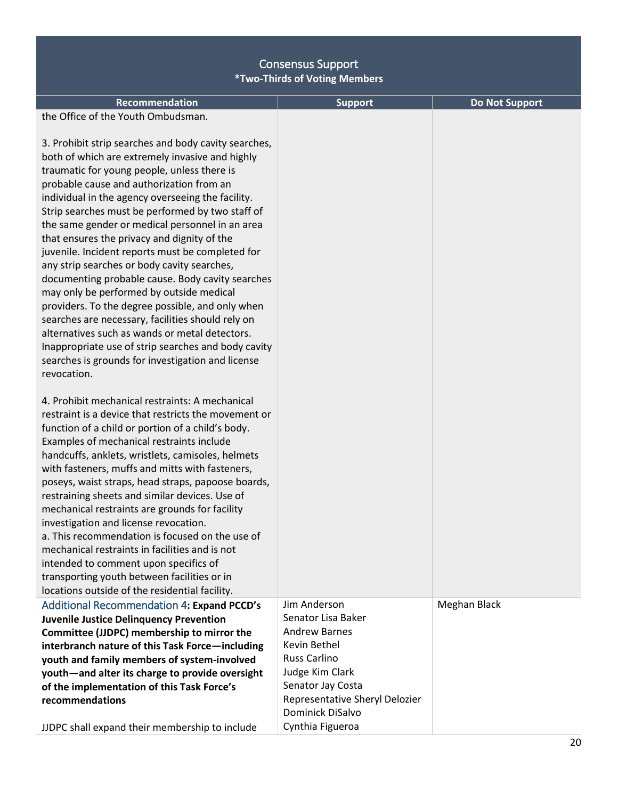<span id="page-19-0"></span>

| <b>Recommendation</b><br>the Office of the Youth Ombudsman.<br>3. Prohibit strip searches and body cavity searches,<br>both of which are extremely invasive and highly<br>traumatic for young people, unless there is<br>probable cause and authorization from an<br>individual in the agency overseeing the facility.<br>Strip searches must be performed by two staff of<br>the same gender or medical personnel in an area<br>that ensures the privacy and dignity of the<br>juvenile. Incident reports must be completed for<br>any strip searches or body cavity searches,<br>documenting probable cause. Body cavity searches<br>may only be performed by outside medical<br>providers. To the degree possible, and only when<br>searches are necessary, facilities should rely on<br>alternatives such as wands or metal detectors.<br>Inappropriate use of strip searches and body cavity<br>searches is grounds for investigation and license<br>revocation.<br>4. Prohibit mechanical restraints: A mechanical<br>restraint is a device that restricts the movement or<br>function of a child or portion of a child's body.<br>Examples of mechanical restraints include<br>handcuffs, anklets, wristlets, camisoles, helmets<br>with fasteners, muffs and mitts with fasteners,<br>poseys, waist straps, head straps, papoose boards,<br>restraining sheets and similar devices. Use of | <b>Support</b>                                                                                                                                                                                  | <b>Do Not Support</b> |
|----------------------------------------------------------------------------------------------------------------------------------------------------------------------------------------------------------------------------------------------------------------------------------------------------------------------------------------------------------------------------------------------------------------------------------------------------------------------------------------------------------------------------------------------------------------------------------------------------------------------------------------------------------------------------------------------------------------------------------------------------------------------------------------------------------------------------------------------------------------------------------------------------------------------------------------------------------------------------------------------------------------------------------------------------------------------------------------------------------------------------------------------------------------------------------------------------------------------------------------------------------------------------------------------------------------------------------------------------------------------------------------------------|-------------------------------------------------------------------------------------------------------------------------------------------------------------------------------------------------|-----------------------|
| mechanical restraints are grounds for facility<br>investigation and license revocation.<br>a. This recommendation is focused on the use of<br>mechanical restraints in facilities and is not                                                                                                                                                                                                                                                                                                                                                                                                                                                                                                                                                                                                                                                                                                                                                                                                                                                                                                                                                                                                                                                                                                                                                                                                       |                                                                                                                                                                                                 |                       |
| intended to comment upon specifics of<br>transporting youth between facilities or in<br>locations outside of the residential facility.                                                                                                                                                                                                                                                                                                                                                                                                                                                                                                                                                                                                                                                                                                                                                                                                                                                                                                                                                                                                                                                                                                                                                                                                                                                             |                                                                                                                                                                                                 |                       |
| <b>Additional Recommendation 4: Expand PCCD's</b><br><b>Juvenile Justice Delinquency Prevention</b><br>Committee (JJDPC) membership to mirror the<br>interbranch nature of this Task Force-including<br>youth and family members of system-involved<br>youth-and alter its charge to provide oversight<br>of the implementation of this Task Force's<br>recommendations                                                                                                                                                                                                                                                                                                                                                                                                                                                                                                                                                                                                                                                                                                                                                                                                                                                                                                                                                                                                                            | Jim Anderson<br>Senator Lisa Baker<br><b>Andrew Barnes</b><br>Kevin Bethel<br><b>Russ Carlino</b><br>Judge Kim Clark<br>Senator Jay Costa<br>Representative Sheryl Delozier<br>Dominick DiSalvo | Meghan Black          |
| JJDPC shall expand their membership to include                                                                                                                                                                                                                                                                                                                                                                                                                                                                                                                                                                                                                                                                                                                                                                                                                                                                                                                                                                                                                                                                                                                                                                                                                                                                                                                                                     | Cynthia Figueroa                                                                                                                                                                                |                       |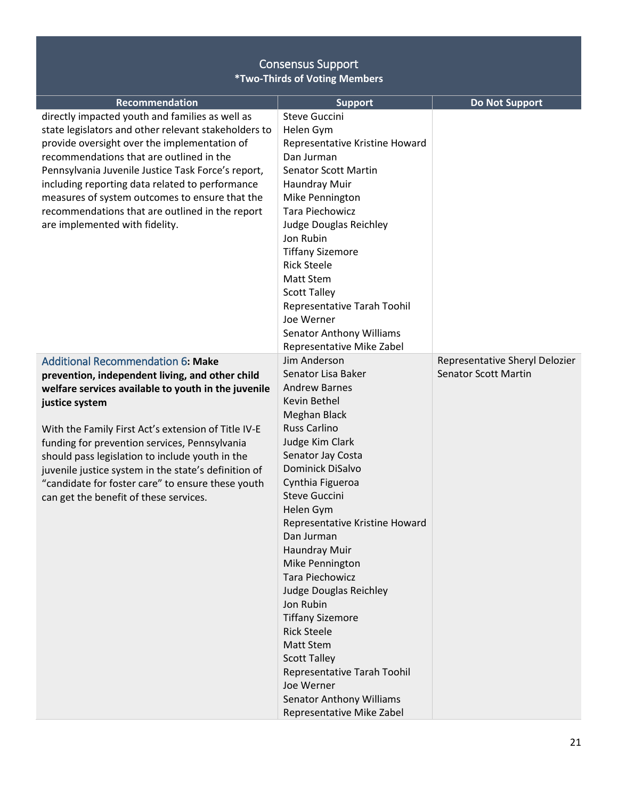<span id="page-20-0"></span>

| Recommendation                                       |                                              |                                |
|------------------------------------------------------|----------------------------------------------|--------------------------------|
| directly impacted youth and families as well as      | <b>Support</b><br>Steve Guccini              | <b>Do Not Support</b>          |
| state legislators and other relevant stakeholders to | Helen Gym                                    |                                |
| provide oversight over the implementation of         |                                              |                                |
| recommendations that are outlined in the             | Representative Kristine Howard<br>Dan Jurman |                                |
|                                                      |                                              |                                |
| Pennsylvania Juvenile Justice Task Force's report,   | <b>Senator Scott Martin</b>                  |                                |
| including reporting data related to performance      | Haundray Muir                                |                                |
| measures of system outcomes to ensure that the       | Mike Pennington                              |                                |
| recommendations that are outlined in the report      | <b>Tara Piechowicz</b>                       |                                |
| are implemented with fidelity.                       | Judge Douglas Reichley                       |                                |
|                                                      | Jon Rubin                                    |                                |
|                                                      | <b>Tiffany Sizemore</b>                      |                                |
|                                                      | <b>Rick Steele</b>                           |                                |
|                                                      | <b>Matt Stem</b>                             |                                |
|                                                      | <b>Scott Talley</b>                          |                                |
|                                                      | Representative Tarah Toohil                  |                                |
|                                                      | Joe Werner                                   |                                |
|                                                      | <b>Senator Anthony Williams</b>              |                                |
|                                                      | Representative Mike Zabel                    |                                |
| <b>Additional Recommendation 6: Make</b>             | Jim Anderson                                 | Representative Sheryl Delozier |
| prevention, independent living, and other child      | Senator Lisa Baker                           | <b>Senator Scott Martin</b>    |
| welfare services available to youth in the juvenile  | <b>Andrew Barnes</b>                         |                                |
| justice system                                       | Kevin Bethel                                 |                                |
|                                                      | Meghan Black                                 |                                |
| With the Family First Act's extension of Title IV-E  | <b>Russ Carlino</b>                          |                                |
| funding for prevention services, Pennsylvania        | Judge Kim Clark                              |                                |
| should pass legislation to include youth in the      | Senator Jay Costa                            |                                |
| juvenile justice system in the state's definition of | Dominick DiSalvo                             |                                |
| "candidate for foster care" to ensure these youth    | Cynthia Figueroa                             |                                |
| can get the benefit of these services.               | <b>Steve Guccini</b>                         |                                |
|                                                      | Helen Gym                                    |                                |
|                                                      | Representative Kristine Howard               |                                |
|                                                      | Dan Jurman                                   |                                |
|                                                      | Haundray Muir                                |                                |
|                                                      | Mike Pennington                              |                                |
|                                                      | Tara Piechowicz                              |                                |
|                                                      | <b>Judge Douglas Reichley</b>                |                                |
|                                                      | Jon Rubin                                    |                                |
|                                                      | <b>Tiffany Sizemore</b>                      |                                |
|                                                      | <b>Rick Steele</b>                           |                                |
|                                                      | <b>Matt Stem</b>                             |                                |
|                                                      | <b>Scott Talley</b>                          |                                |
|                                                      | Representative Tarah Toohil                  |                                |
|                                                      | Joe Werner                                   |                                |
|                                                      | <b>Senator Anthony Williams</b>              |                                |
|                                                      | Representative Mike Zabel                    |                                |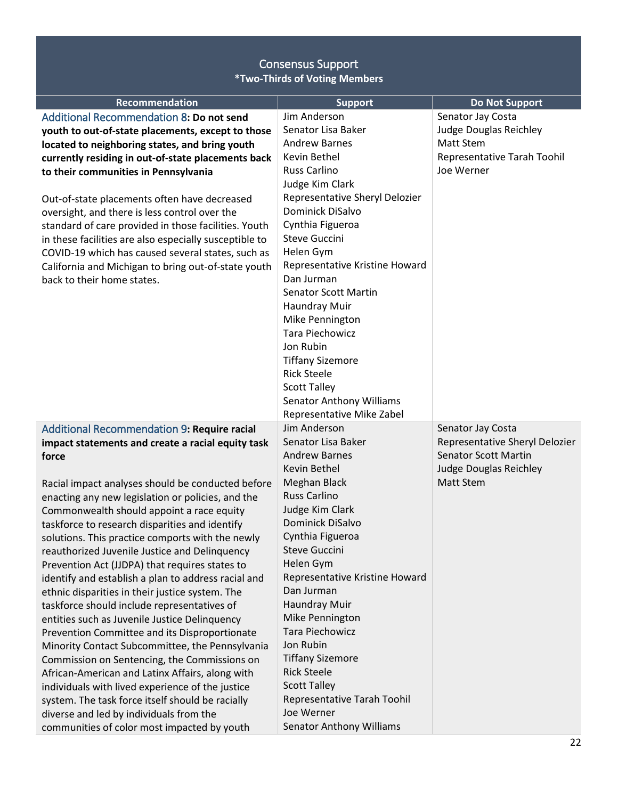<span id="page-21-1"></span><span id="page-21-0"></span>

| <b>Recommendation</b>                                  | <b>Support</b>                           | <b>Do Not Support</b>          |
|--------------------------------------------------------|------------------------------------------|--------------------------------|
| Additional Recommendation 8: Do not send               | Jim Anderson                             | Senator Jay Costa              |
| youth to out-of-state placements, except to those      | Senator Lisa Baker                       | Judge Douglas Reichley         |
| located to neighboring states, and bring youth         | <b>Andrew Barnes</b>                     | <b>Matt Stem</b>               |
| currently residing in out-of-state placements back     | Kevin Bethel                             | Representative Tarah Toohil    |
| to their communities in Pennsylvania                   | <b>Russ Carlino</b>                      | Joe Werner                     |
|                                                        | Judge Kim Clark                          |                                |
| Out-of-state placements often have decreased           | Representative Sheryl Delozier           |                                |
| oversight, and there is less control over the          | Dominick DiSalvo                         |                                |
| standard of care provided in those facilities. Youth   | Cynthia Figueroa<br><b>Steve Guccini</b> |                                |
| in these facilities are also especially susceptible to | Helen Gym                                |                                |
| COVID-19 which has caused several states, such as      | Representative Kristine Howard           |                                |
| California and Michigan to bring out-of-state youth    | Dan Jurman                               |                                |
| back to their home states.                             | <b>Senator Scott Martin</b>              |                                |
|                                                        | Haundray Muir                            |                                |
|                                                        | Mike Pennington                          |                                |
|                                                        | <b>Tara Piechowicz</b>                   |                                |
|                                                        | Jon Rubin                                |                                |
|                                                        | <b>Tiffany Sizemore</b>                  |                                |
|                                                        | <b>Rick Steele</b>                       |                                |
|                                                        | <b>Scott Talley</b>                      |                                |
|                                                        | <b>Senator Anthony Williams</b>          |                                |
|                                                        | Representative Mike Zabel                |                                |
| Additional Recommendation 9: Require racial            | Jim Anderson                             | Senator Jay Costa              |
| impact statements and create a racial equity task      | Senator Lisa Baker                       | Representative Sheryl Delozier |
| force                                                  | <b>Andrew Barnes</b>                     | <b>Senator Scott Martin</b>    |
|                                                        | Kevin Bethel                             | Judge Douglas Reichley         |
| Racial impact analyses should be conducted before      | Meghan Black                             | Matt Stem                      |
| enacting any new legislation or policies, and the      | <b>Russ Carlino</b>                      |                                |
| Commonwealth should appoint a race equity              | Judge Kim Clark                          |                                |
| taskforce to research disparities and identify         | Dominick DiSalvo                         |                                |
| solutions. This practice comports with the newly       | Cynthia Figueroa                         |                                |
| reauthorized Juvenile Justice and Delinquency          | <b>Steve Guccini</b>                     |                                |
| Prevention Act (JJDPA) that requires states to         | Helen Gym                                |                                |
| identify and establish a plan to address racial and    | Representative Kristine Howard           |                                |
| ethnic disparities in their justice system. The        | Dan Jurman                               |                                |
| taskforce should include representatives of            | Haundray Muir                            |                                |
| entities such as Juvenile Justice Delinquency          | Mike Pennington                          |                                |
| Prevention Committee and its Disproportionate          | Tara Piechowicz<br>Jon Rubin             |                                |
| Minority Contact Subcommittee, the Pennsylvania        | <b>Tiffany Sizemore</b>                  |                                |
| Commission on Sentencing, the Commissions on           | <b>Rick Steele</b>                       |                                |
| African-American and Latinx Affairs, along with        | <b>Scott Talley</b>                      |                                |
| individuals with lived experience of the justice       | Representative Tarah Toohil              |                                |
| system. The task force itself should be racially       | Joe Werner                               |                                |
| diverse and led by individuals from the                | <b>Senator Anthony Williams</b>          |                                |
| communities of color most impacted by youth            |                                          |                                |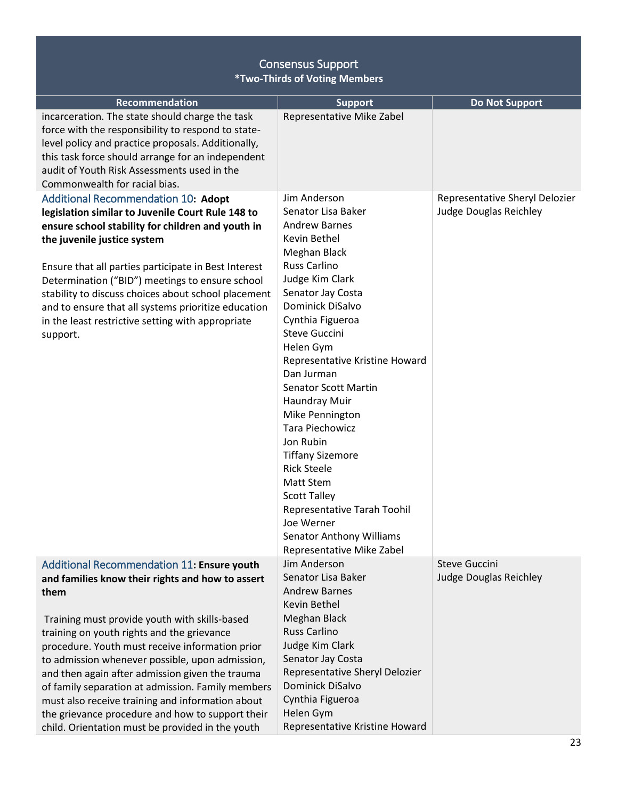<span id="page-22-1"></span><span id="page-22-0"></span>

| <b>Recommendation</b>                                                                                                                                                                                                                                                                                                                                                                                                                                                                                                                                                           | <b>Support</b>                                                                                                                                                                                                                                                                                                                                                                                                                                                                                                                                                                                     | <b>Do Not Support</b>                                           |
|---------------------------------------------------------------------------------------------------------------------------------------------------------------------------------------------------------------------------------------------------------------------------------------------------------------------------------------------------------------------------------------------------------------------------------------------------------------------------------------------------------------------------------------------------------------------------------|----------------------------------------------------------------------------------------------------------------------------------------------------------------------------------------------------------------------------------------------------------------------------------------------------------------------------------------------------------------------------------------------------------------------------------------------------------------------------------------------------------------------------------------------------------------------------------------------------|-----------------------------------------------------------------|
| incarceration. The state should charge the task<br>force with the responsibility to respond to state-<br>level policy and practice proposals. Additionally,<br>this task force should arrange for an independent<br>audit of Youth Risk Assessments used in the<br>Commonwealth for racial bias.                                                                                                                                                                                                                                                                                | Representative Mike Zabel                                                                                                                                                                                                                                                                                                                                                                                                                                                                                                                                                                          |                                                                 |
| Additional Recommendation 10: Adopt<br>legislation similar to Juvenile Court Rule 148 to<br>ensure school stability for children and youth in<br>the juvenile justice system<br>Ensure that all parties participate in Best Interest<br>Determination ("BID") meetings to ensure school<br>stability to discuss choices about school placement<br>and to ensure that all systems prioritize education<br>in the least restrictive setting with appropriate<br>support.                                                                                                          | Jim Anderson<br>Senator Lisa Baker<br><b>Andrew Barnes</b><br>Kevin Bethel<br>Meghan Black<br><b>Russ Carlino</b><br>Judge Kim Clark<br>Senator Jay Costa<br>Dominick DiSalvo<br>Cynthia Figueroa<br><b>Steve Guccini</b><br>Helen Gym<br>Representative Kristine Howard<br>Dan Jurman<br><b>Senator Scott Martin</b><br>Haundray Muir<br>Mike Pennington<br>Tara Piechowicz<br>Jon Rubin<br><b>Tiffany Sizemore</b><br><b>Rick Steele</b><br><b>Matt Stem</b><br><b>Scott Talley</b><br>Representative Tarah Toohil<br>Joe Werner<br><b>Senator Anthony Williams</b><br>Representative Mike Zabel | Representative Sheryl Delozier<br><b>Judge Douglas Reichley</b> |
| Additional Recommendation 11: Ensure youth<br>and families know their rights and how to assert<br>them<br>Training must provide youth with skills-based<br>training on youth rights and the grievance<br>procedure. Youth must receive information prior<br>to admission whenever possible, upon admission,<br>and then again after admission given the trauma<br>of family separation at admission. Family members<br>must also receive training and information about<br>the grievance procedure and how to support their<br>child. Orientation must be provided in the youth | Jim Anderson<br>Senator Lisa Baker<br><b>Andrew Barnes</b><br>Kevin Bethel<br>Meghan Black<br><b>Russ Carlino</b><br>Judge Kim Clark<br>Senator Jay Costa<br>Representative Sheryl Delozier<br>Dominick DiSalvo<br>Cynthia Figueroa<br>Helen Gym<br>Representative Kristine Howard                                                                                                                                                                                                                                                                                                                 | <b>Steve Guccini</b><br>Judge Douglas Reichley                  |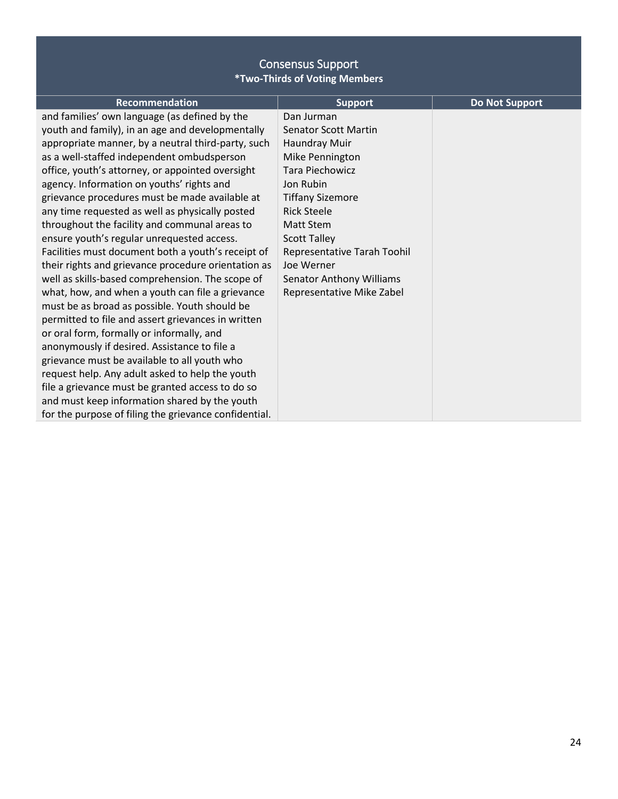| <b>Recommendation</b>                                 | <b>Support</b>                  | <b>Do Not Support</b> |
|-------------------------------------------------------|---------------------------------|-----------------------|
| and families' own language (as defined by the         | Dan Jurman                      |                       |
| youth and family), in an age and developmentally      | <b>Senator Scott Martin</b>     |                       |
| appropriate manner, by a neutral third-party, such    | Haundray Muir                   |                       |
| as a well-staffed independent ombudsperson            | Mike Pennington                 |                       |
| office, youth's attorney, or appointed oversight      | Tara Piechowicz                 |                       |
| agency. Information on youths' rights and             | Jon Rubin                       |                       |
| grievance procedures must be made available at        | <b>Tiffany Sizemore</b>         |                       |
| any time requested as well as physically posted       | <b>Rick Steele</b>              |                       |
| throughout the facility and communal areas to         | Matt Stem                       |                       |
| ensure youth's regular unrequested access.            | <b>Scott Talley</b>             |                       |
| Facilities must document both a youth's receipt of    | Representative Tarah Toohil     |                       |
| their rights and grievance procedure orientation as   | Joe Werner                      |                       |
| well as skills-based comprehension. The scope of      | <b>Senator Anthony Williams</b> |                       |
| what, how, and when a youth can file a grievance      | Representative Mike Zabel       |                       |
| must be as broad as possible. Youth should be         |                                 |                       |
| permitted to file and assert grievances in written    |                                 |                       |
| or oral form, formally or informally, and             |                                 |                       |
| anonymously if desired. Assistance to file a          |                                 |                       |
| grievance must be available to all youth who          |                                 |                       |
| request help. Any adult asked to help the youth       |                                 |                       |
| file a grievance must be granted access to do so      |                                 |                       |
| and must keep information shared by the youth         |                                 |                       |
| for the purpose of filing the grievance confidential. |                                 |                       |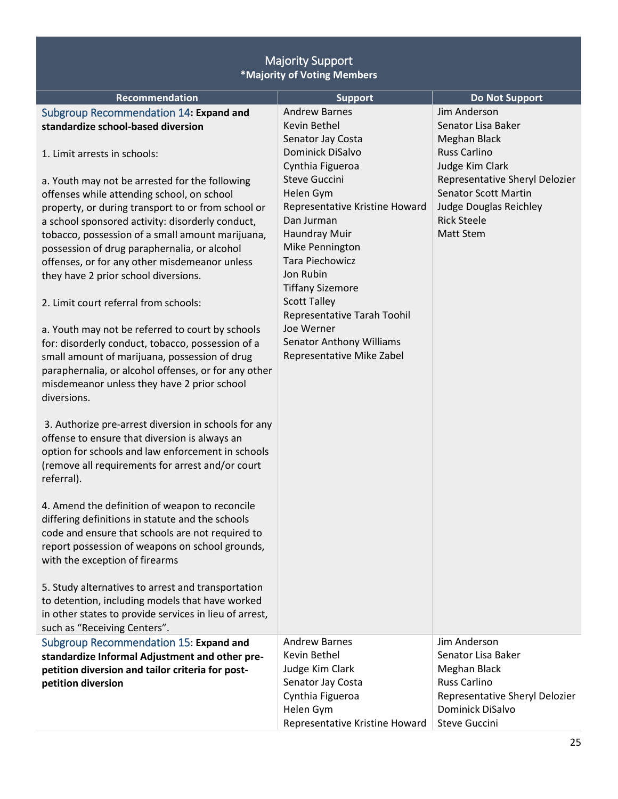<span id="page-24-2"></span><span id="page-24-1"></span><span id="page-24-0"></span>

| <b>Majority Support</b><br>*Majority of Voting Members                                                |                                                           |                                                               |  |
|-------------------------------------------------------------------------------------------------------|-----------------------------------------------------------|---------------------------------------------------------------|--|
| <b>Recommendation</b>                                                                                 | <b>Support</b>                                            | <b>Do Not Support</b>                                         |  |
| Subgroup Recommendation 14: Expand and<br>standardize school-based diversion                          | <b>Andrew Barnes</b><br>Kevin Bethel<br>Senator Jay Costa | Jim Anderson<br>Senator Lisa Baker<br>Meghan Black            |  |
| 1. Limit arrests in schools:                                                                          | Dominick DiSalvo<br>Cynthia Figueroa                      | <b>Russ Carlino</b><br>Judge Kim Clark                        |  |
| a. Youth may not be arrested for the following                                                        | <b>Steve Guccini</b>                                      | Representative Sheryl Delozier<br><b>Senator Scott Martin</b> |  |
| offenses while attending school, on school<br>property, or during transport to or from school or      | Helen Gym<br>Representative Kristine Howard               | Judge Douglas Reichley                                        |  |
| a school sponsored activity: disorderly conduct,                                                      | Dan Jurman                                                | <b>Rick Steele</b>                                            |  |
| tobacco, possession of a small amount marijuana,                                                      | Haundray Muir                                             | <b>Matt Stem</b>                                              |  |
| possession of drug paraphernalia, or alcohol                                                          | Mike Pennington                                           |                                                               |  |
| offenses, or for any other misdemeanor unless                                                         | <b>Tara Piechowicz</b>                                    |                                                               |  |
| they have 2 prior school diversions.                                                                  | Jon Rubin<br><b>Tiffany Sizemore</b>                      |                                                               |  |
| 2. Limit court referral from schools:                                                                 | <b>Scott Talley</b><br>Representative Tarah Toohil        |                                                               |  |
| a. Youth may not be referred to court by schools                                                      | Joe Werner                                                |                                                               |  |
| for: disorderly conduct, tobacco, possession of a                                                     | <b>Senator Anthony Williams</b>                           |                                                               |  |
| small amount of marijuana, possession of drug<br>paraphernalia, or alcohol offenses, or for any other | Representative Mike Zabel                                 |                                                               |  |
| misdemeanor unless they have 2 prior school                                                           |                                                           |                                                               |  |
| diversions.                                                                                           |                                                           |                                                               |  |
|                                                                                                       |                                                           |                                                               |  |
| 3. Authorize pre-arrest diversion in schools for any                                                  |                                                           |                                                               |  |
| offense to ensure that diversion is always an<br>option for schools and law enforcement in schools    |                                                           |                                                               |  |
| (remove all requirements for arrest and/or court                                                      |                                                           |                                                               |  |
| referral).                                                                                            |                                                           |                                                               |  |
|                                                                                                       |                                                           |                                                               |  |
| 4. Amend the definition of weapon to reconcile                                                        |                                                           |                                                               |  |
| differing definitions in statute and the schools<br>code and ensure that schools are not required to  |                                                           |                                                               |  |
| report possession of weapons on school grounds,                                                       |                                                           |                                                               |  |
| with the exception of firearms                                                                        |                                                           |                                                               |  |
|                                                                                                       |                                                           |                                                               |  |
| 5. Study alternatives to arrest and transportation                                                    |                                                           |                                                               |  |
| to detention, including models that have worked                                                       |                                                           |                                                               |  |
| in other states to provide services in lieu of arrest,<br>such as "Receiving Centers".                |                                                           |                                                               |  |
| Subgroup Recommendation 15: Expand and                                                                | <b>Andrew Barnes</b>                                      | Jim Anderson                                                  |  |
| standardize Informal Adjustment and other pre-                                                        | Kevin Bethel                                              | Senator Lisa Baker                                            |  |
| petition diversion and tailor criteria for post-                                                      | Judge Kim Clark                                           | Meghan Black                                                  |  |
| petition diversion                                                                                    | Senator Jay Costa                                         | <b>Russ Carlino</b>                                           |  |
|                                                                                                       | Cynthia Figueroa                                          | Representative Sheryl Delozier<br>Dominick DiSalvo            |  |
|                                                                                                       | Helen Gym<br>Representative Kristine Howard               | <b>Steve Guccini</b>                                          |  |
|                                                                                                       |                                                           |                                                               |  |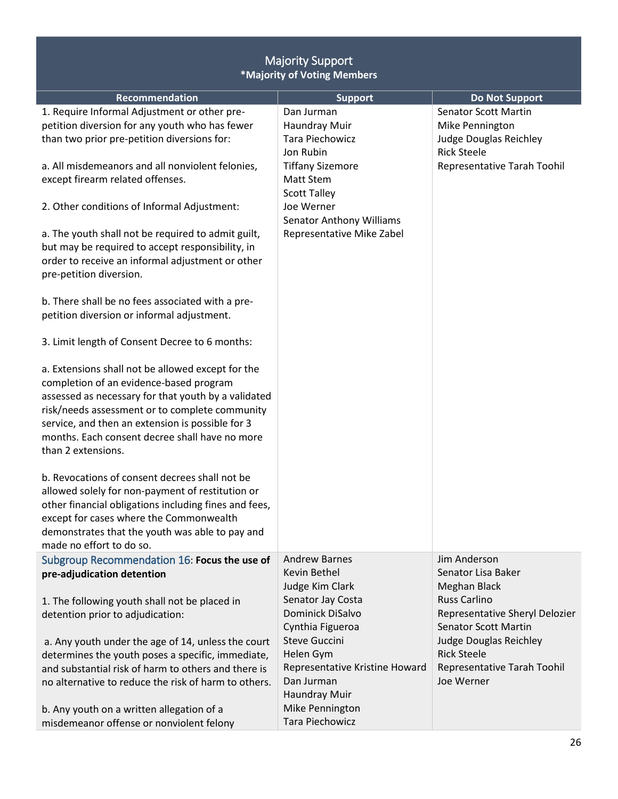<span id="page-25-0"></span>

| <b>Majority Support</b><br>*Majority of Voting Members                                                                                                                                                                                                                                                                                                                                                                                                                        |                                                                                                                                                                                                          |                                                                                                                                      |  |  |
|-------------------------------------------------------------------------------------------------------------------------------------------------------------------------------------------------------------------------------------------------------------------------------------------------------------------------------------------------------------------------------------------------------------------------------------------------------------------------------|----------------------------------------------------------------------------------------------------------------------------------------------------------------------------------------------------------|--------------------------------------------------------------------------------------------------------------------------------------|--|--|
| Recommendation                                                                                                                                                                                                                                                                                                                                                                                                                                                                | <b>Support</b>                                                                                                                                                                                           | <b>Do Not Support</b>                                                                                                                |  |  |
| 1. Require Informal Adjustment or other pre-<br>petition diversion for any youth who has fewer<br>than two prior pre-petition diversions for:<br>a. All misdemeanors and all nonviolent felonies,<br>except firearm related offenses.<br>2. Other conditions of Informal Adjustment:<br>a. The youth shall not be required to admit guilt,<br>but may be required to accept responsibility, in<br>order to receive an informal adjustment or other<br>pre-petition diversion. | Dan Jurman<br>Haundray Muir<br>Tara Piechowicz<br>Jon Rubin<br><b>Tiffany Sizemore</b><br>Matt Stem<br><b>Scott Talley</b><br>Joe Werner<br><b>Senator Anthony Williams</b><br>Representative Mike Zabel | <b>Senator Scott Martin</b><br>Mike Pennington<br><b>Judge Douglas Reichley</b><br><b>Rick Steele</b><br>Representative Tarah Toohil |  |  |
| b. There shall be no fees associated with a pre-<br>petition diversion or informal adjustment.<br>3. Limit length of Consent Decree to 6 months:                                                                                                                                                                                                                                                                                                                              |                                                                                                                                                                                                          |                                                                                                                                      |  |  |
| a. Extensions shall not be allowed except for the<br>completion of an evidence-based program<br>assessed as necessary for that youth by a validated<br>risk/needs assessment or to complete community<br>service, and then an extension is possible for 3<br>months. Each consent decree shall have no more<br>than 2 extensions.                                                                                                                                             |                                                                                                                                                                                                          |                                                                                                                                      |  |  |
| b. Revocations of consent decrees shall not be<br>allowed solely for non-payment of restitution or<br>other financial obligations including fines and fees,<br>except for cases where the Commonwealth<br>demonstrates that the youth was able to pay and<br>made no effort to do so.                                                                                                                                                                                         |                                                                                                                                                                                                          |                                                                                                                                      |  |  |
| Subgroup Recommendation 16: Focus the use of<br>pre-adjudication detention                                                                                                                                                                                                                                                                                                                                                                                                    | <b>Andrew Barnes</b><br>Kevin Bethel                                                                                                                                                                     | Jim Anderson<br>Senator Lisa Baker                                                                                                   |  |  |
| 1. The following youth shall not be placed in<br>detention prior to adjudication:                                                                                                                                                                                                                                                                                                                                                                                             | Judge Kim Clark<br>Senator Jay Costa<br><b>Dominick DiSalvo</b><br>Cynthia Figueroa                                                                                                                      | Meghan Black<br><b>Russ Carlino</b><br>Representative Sheryl Delozier<br><b>Senator Scott Martin</b>                                 |  |  |
| a. Any youth under the age of 14, unless the court<br>determines the youth poses a specific, immediate,<br>and substantial risk of harm to others and there is<br>no alternative to reduce the risk of harm to others.<br>b. Any youth on a written allegation of a<br>misdemeanor offense or nonviolent felony                                                                                                                                                               | <b>Steve Guccini</b><br>Helen Gym<br>Representative Kristine Howard<br>Dan Jurman<br>Haundray Muir<br>Mike Pennington<br><b>Tara Piechowicz</b>                                                          | Judge Douglas Reichley<br><b>Rick Steele</b><br>Representative Tarah Toohil<br>Joe Werner                                            |  |  |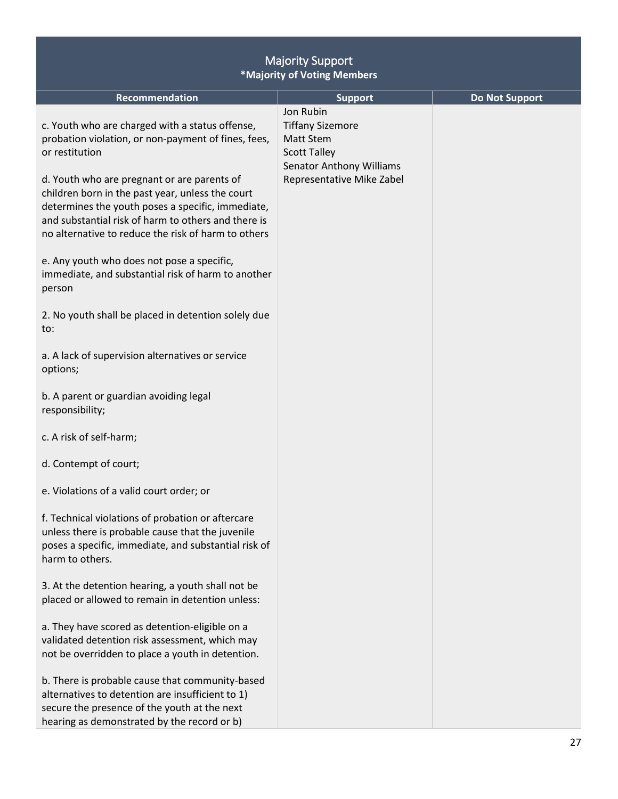| <b>Majority Support</b><br>*Majority of Voting Members                                                                                                                                                                                                                                                                                                                                         |                                                                                                                                          |                       |  |  |
|------------------------------------------------------------------------------------------------------------------------------------------------------------------------------------------------------------------------------------------------------------------------------------------------------------------------------------------------------------------------------------------------|------------------------------------------------------------------------------------------------------------------------------------------|-----------------------|--|--|
| Recommendation                                                                                                                                                                                                                                                                                                                                                                                 | <b>Support</b>                                                                                                                           | <b>Do Not Support</b> |  |  |
| c. Youth who are charged with a status offense,<br>probation violation, or non-payment of fines, fees,<br>or restitution<br>d. Youth who are pregnant or are parents of<br>children born in the past year, unless the court<br>determines the youth poses a specific, immediate,<br>and substantial risk of harm to others and there is<br>no alternative to reduce the risk of harm to others | Jon Rubin<br><b>Tiffany Sizemore</b><br>Matt Stem<br><b>Scott Talley</b><br><b>Senator Anthony Williams</b><br>Representative Mike Zabel |                       |  |  |
| e. Any youth who does not pose a specific,<br>immediate, and substantial risk of harm to another<br>person                                                                                                                                                                                                                                                                                     |                                                                                                                                          |                       |  |  |
| 2. No youth shall be placed in detention solely due<br>to:                                                                                                                                                                                                                                                                                                                                     |                                                                                                                                          |                       |  |  |
| a. A lack of supervision alternatives or service<br>options;                                                                                                                                                                                                                                                                                                                                   |                                                                                                                                          |                       |  |  |
| b. A parent or guardian avoiding legal<br>responsibility;                                                                                                                                                                                                                                                                                                                                      |                                                                                                                                          |                       |  |  |
| c. A risk of self-harm;                                                                                                                                                                                                                                                                                                                                                                        |                                                                                                                                          |                       |  |  |
| d. Contempt of court;                                                                                                                                                                                                                                                                                                                                                                          |                                                                                                                                          |                       |  |  |
| e. Violations of a valid court order; or                                                                                                                                                                                                                                                                                                                                                       |                                                                                                                                          |                       |  |  |
| f. Technical violations of probation or aftercare<br>unless there is probable cause that the juvenile<br>poses a specific, immediate, and substantial risk of<br>harm to others.                                                                                                                                                                                                               |                                                                                                                                          |                       |  |  |
| 3. At the detention hearing, a youth shall not be<br>placed or allowed to remain in detention unless:                                                                                                                                                                                                                                                                                          |                                                                                                                                          |                       |  |  |
| a. They have scored as detention-eligible on a<br>validated detention risk assessment, which may<br>not be overridden to place a youth in detention.                                                                                                                                                                                                                                           |                                                                                                                                          |                       |  |  |
| b. There is probable cause that community-based<br>alternatives to detention are insufficient to 1)<br>secure the presence of the youth at the next<br>hearing as demonstrated by the record or b)                                                                                                                                                                                             |                                                                                                                                          |                       |  |  |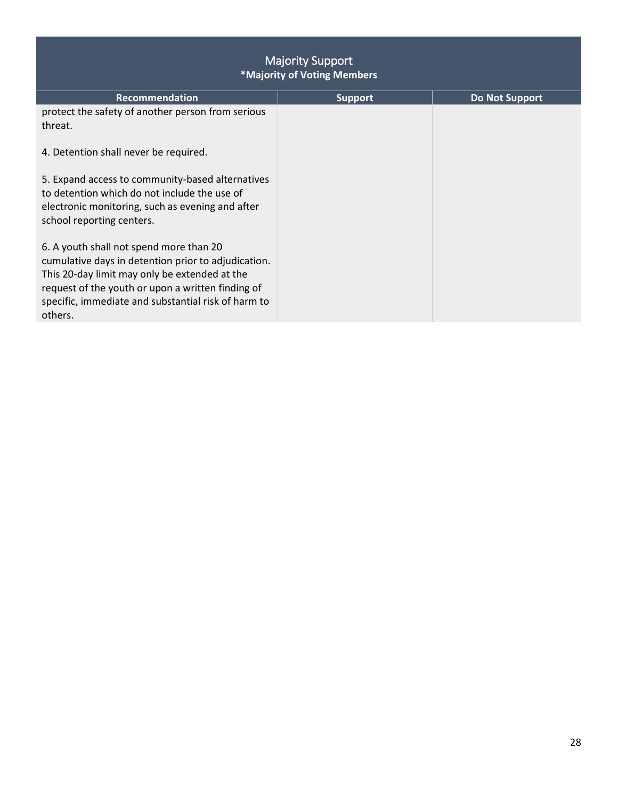| <b>Majority Support</b><br>*Majority of Voting Members                                                                                                                                                                                                                 |                |                       |  |  |
|------------------------------------------------------------------------------------------------------------------------------------------------------------------------------------------------------------------------------------------------------------------------|----------------|-----------------------|--|--|
| <b>Recommendation</b>                                                                                                                                                                                                                                                  | <b>Support</b> | <b>Do Not Support</b> |  |  |
| protect the safety of another person from serious<br>threat.                                                                                                                                                                                                           |                |                       |  |  |
| 4. Detention shall never be required.                                                                                                                                                                                                                                  |                |                       |  |  |
| 5. Expand access to community-based alternatives<br>to detention which do not include the use of<br>electronic monitoring, such as evening and after<br>school reporting centers.                                                                                      |                |                       |  |  |
| 6. A youth shall not spend more than 20<br>cumulative days in detention prior to adjudication.<br>This 20-day limit may only be extended at the<br>request of the youth or upon a written finding of<br>specific, immediate and substantial risk of harm to<br>others. |                |                       |  |  |